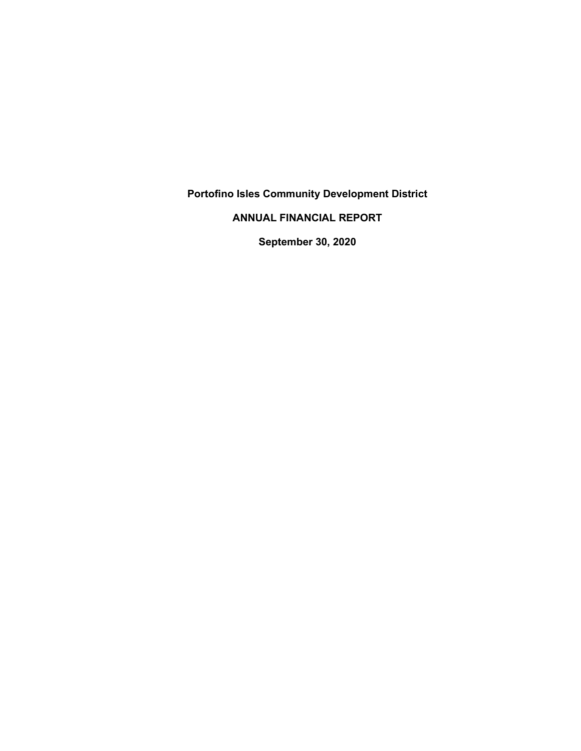**Portofino Isles Community Development District**

**ANNUAL FINANCIAL REPORT**

**September 30, 2020**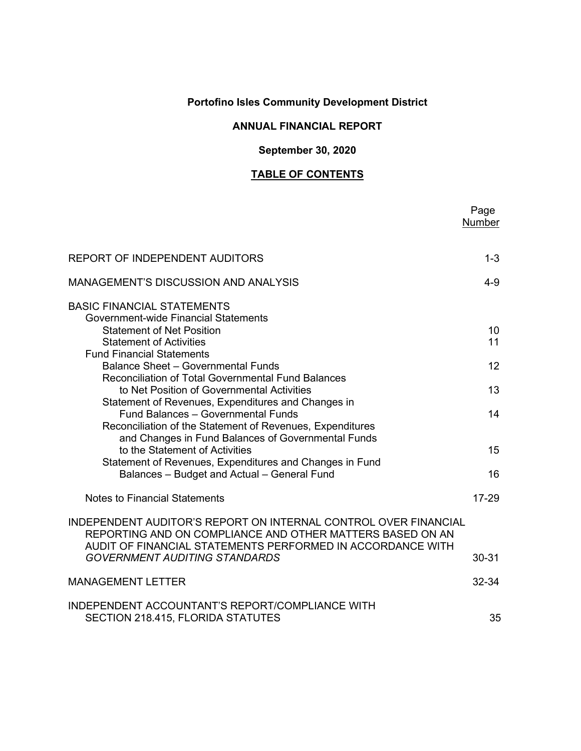# **Portofino Isles Community Development District**

# **ANNUAL FINANCIAL REPORT**

# **September 30, 2020**

# **TABLE OF CONTENTS**

|                                                                                                                                                                                            | Page<br>Number |
|--------------------------------------------------------------------------------------------------------------------------------------------------------------------------------------------|----------------|
| <b>REPORT OF INDEPENDENT AUDITORS</b>                                                                                                                                                      | $1 - 3$        |
| <b>MANAGEMENT'S DISCUSSION AND ANALYSIS</b>                                                                                                                                                | $4 - 9$        |
| <b>BASIC FINANCIAL STATEMENTS</b><br>Government-wide Financial Statements                                                                                                                  |                |
| <b>Statement of Net Position</b><br><b>Statement of Activities</b>                                                                                                                         | 10<br>11       |
| <b>Fund Financial Statements</b><br><b>Balance Sheet - Governmental Funds</b><br>Reconciliation of Total Governmental Fund Balances                                                        | 12             |
| to Net Position of Governmental Activities<br>Statement of Revenues, Expenditures and Changes in                                                                                           | 13             |
| <b>Fund Balances - Governmental Funds</b><br>Reconciliation of the Statement of Revenues, Expenditures<br>and Changes in Fund Balances of Governmental Funds                               | 14             |
| to the Statement of Activities<br>Statement of Revenues, Expenditures and Changes in Fund                                                                                                  | 15             |
| Balances - Budget and Actual - General Fund                                                                                                                                                | 16             |
| <b>Notes to Financial Statements</b>                                                                                                                                                       | 17-29          |
| INDEPENDENT AUDITOR'S REPORT ON INTERNAL CONTROL OVER FINANCIAL<br>REPORTING AND ON COMPLIANCE AND OTHER MATTERS BASED ON AN<br>AUDIT OF FINANCIAL STATEMENTS PERFORMED IN ACCORDANCE WITH |                |
| <b>GOVERNMENT AUDITING STANDARDS</b>                                                                                                                                                       | 30-31          |
| <b>MANAGEMENT LETTER</b>                                                                                                                                                                   | 32-34          |
| INDEPENDENT ACCOUNTANT'S REPORT/COMPLIANCE WITH<br><b>SECTION 218.415, FLORIDA STATUTES</b>                                                                                                | 35             |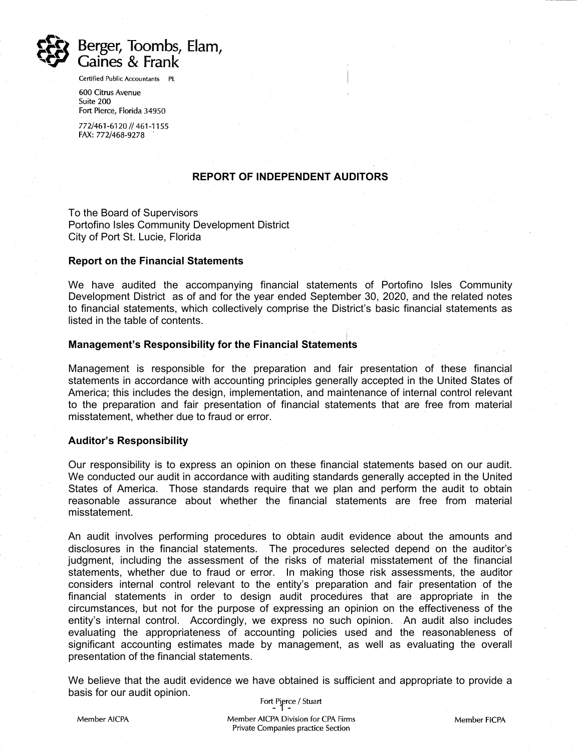

Certified Public Accountants PL

600 Citrus Avenue Suite 200 Fort Pierce, Florida 34950

772/461-6120 // 461-1155 FAX: 772/468-9278

#### **REPORT OF INDEPENDENT AUDITORS**

To the Board of Supervisors Portofino Isles Community Development District City of Port St. Lucie, Florida

#### **Report on the Financial Statements**

We have audited the accompanying financial statements of Portofino Isles Community Development District as of and for the year ended September 30, 2020, and the related notes to financial statements, which collectively comprise the District's basic financial statements as listed in the table of contents.

#### **Management's Responsibility for the Financial Statements**

Management is responsible for the preparation and fair presentation of these financial statements in accordance with accounting principles generally accepted in the United States of America; this includes the design, implementation, and maintenance of internal control relevant to the preparation and fair presentation of financial statements that are free from material misstatement, whether due to fraud or error.

#### **Auditor's Responsibility**

Our responsibility is to express an opinion on these financial statements based on our audit. We conducted our audit in accordance with auditing standards generally accepted in the United States of America. Those standards require that we plan and perform the audit to obtain reasonable assurance about whether the financial statements are free from material misstatement.

An audit involves performing procedures to obtain audit evidence about the amounts and disclosures in the financial statements. The procedures selected depend on the auditor's judgment, including the assessment of the risks of material misstatement of the financial statements, whether due to fraud or error. In making those risk assessments, the auditor considers internal control relevant to the entity's preparation and fair presentation of the financial statements in order to design audit procedures that are appropriate in the circumstances, but not for the purpose of expressing an opinion on the effectiveness of the entity's internal control. Accordingly, we express no such opinion. An audit also includes evaluating the appropriateness of accounting policies used and the reasonableness of significant accounting estimates made by management, as well as evaluating the overall presentation of the financial statements.

We believe that the audit evidence we have obtained is sufficient and appropriate to provide a basis for our audit opinion.

Fort Pierce / Stuart<br>- 1 -<br>Member AICPA Division for CPA Firms Private Companies practice Section

Member FICPA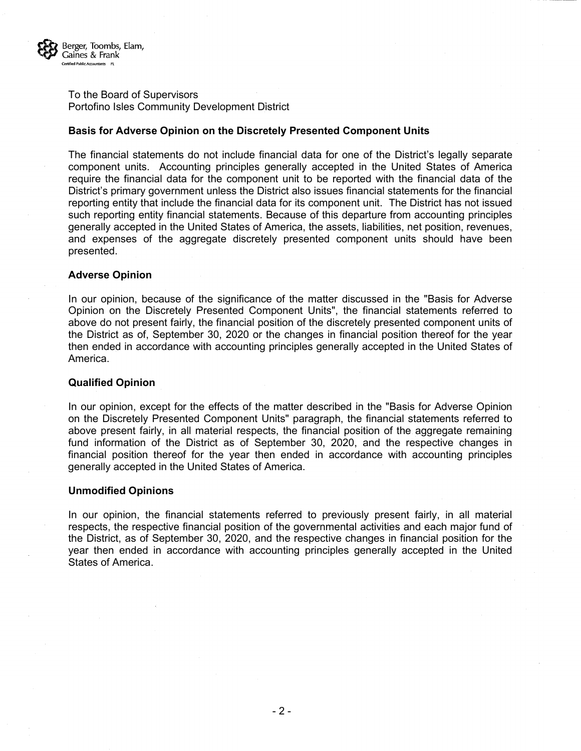

To the Board of Supervisors Portofino Isles Community Development District

#### **Basis for Adverse Opinion on the Discretely Presented Component Units**

The financial statements do not include financial data for one of the District's legally separate component units. Accounting principles generally accepted in the United States of America require the financial data for the component unit to be reported with the financial data of the District's primary government unless the District also issues financial statements for the financial reporting entity that include the financial data for its component unit. The District has not issued such reporting entity financial statements. Because of this departure from accounting principles generally accepted in the United States of America, the assets, liabilities, net position, revenues, and expenses of the aggregate discretely presented component units should have been presented.

#### **Adverse Opinion**

In our opinion, because of the significance of the matter discussed in the "Basis for Adverse Opinion on the Discretely Presented Component Units", the financial statements referred to above do not present fairly, the financial position of the discretely presented component units of the District as of, September 30, 2020 or the changes in financial position thereof for the year then ended in accordance with accounting principles generally accepted in the United States of America.

#### **Qualified Opinion**

In our opinion, except for the effects of the matter described in the "Basis for Adverse Opinion on the Discretely Presented Component Units" paragraph, the financial statements referred to above present fairly, in all material respects, the financial position of the aggregate remaining fund information of the District as of September 30, 2020, and the respective changes in financial position thereof for the year then ended in accordance with accounting principles generally accepted in the United States of America.

#### **Unmodified Opinions**

In our opinion, the financial statements referred to previously present fairly, in all material respects, the respective financial position of the governmental activities and each major fund of the District, as of September 30, 2020, and the respective changes in financial position for the year then ended in accordance with accounting principles generally accepted in the United States of America.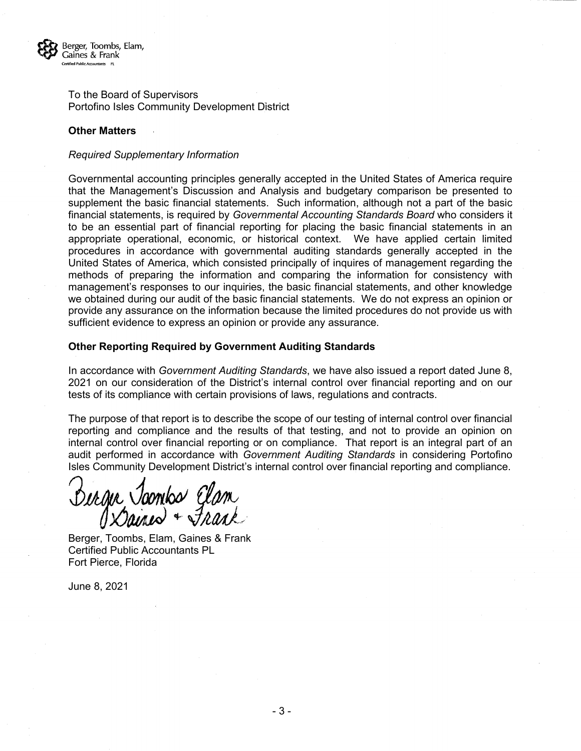

To the Board of Supervisors Portofino Isles Community Development District

#### **Other Matters**

#### *Required Supplementary Information*

Governmental accounting principles generally accepted in the United States of America require that the Management's Discussion and Analysis and budgetary comparison be presented to supplement the basic financial statements. Such information, although not a part of the basic financial statements, is required by *Governmental Accounting Standards Board* who considers it to be an essential part of financial reporting for placing the basic financial statements in an appropriate operational, economic, or historical context. We have applied certain limited procedures in accordance with governmental auditing standards generally accepted in the United States of America, which consisted principally of inquires of management regarding the methods of preparing the information and comparing the information for consistency with management's responses to our inquiries, the basic financial statements, and other knowledge we obtained during our audit of the basic financial statements. We do not express an opinion or provide any assurance on the information because the limited procedures do not provide us with sufficient evidence to express an opinion or provide any assurance.

#### **Other Reporting Required by Government Auditing Standards**

In accordance with *Government Auditing Standards*, we have also issued a report dated June 8, 2021 on our consideration of the District's internal control over financial reporting and on our tests of its compliance with certain provisions of laws, regulations and contracts.

The purpose of that report is to describe the scope of our testing of internal control over financial reporting and compliance and the results of that testing, and not to provide an opinion on internal control over financial reporting or on compliance. That report is an integral part of an audit performed in accordance with *Government Auditing Standards* in considering Portofino Isles Community Development District's internal control over financial reporting and compliance.

Burgir Joonibo Glam

Berger, Toombs, Elam, Gaines & Frank Certified Public Accountants PL Fort Pierce, Florida

June 8, 2021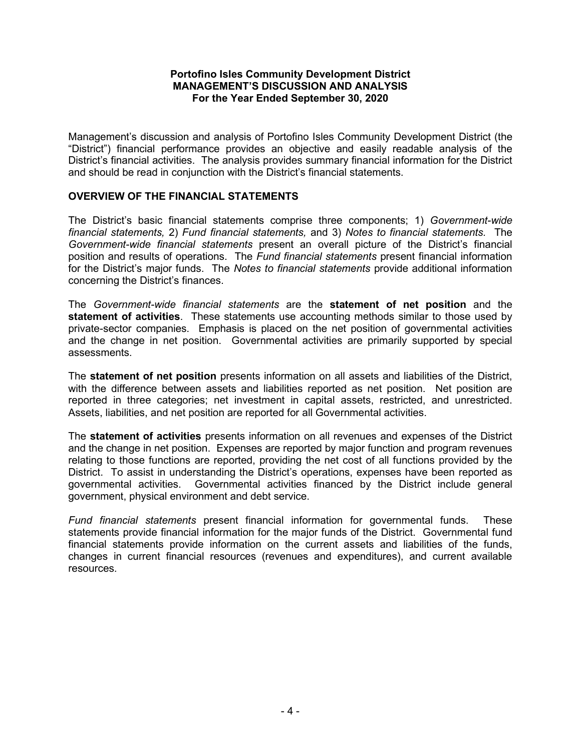Management's discussion and analysis of Portofino Isles Community Development District (the "District") financial performance provides an objective and easily readable analysis of the District's financial activities. The analysis provides summary financial information for the District and should be read in conjunction with the District's financial statements.

## **OVERVIEW OF THE FINANCIAL STATEMENTS**

The District's basic financial statements comprise three components; 1) *Government-wide financial statements,* 2) *Fund financial statements,* and 3) *Notes to financial statements.* The *Government-wide financial statements* present an overall picture of the District's financial position and results of operations. The *Fund financial statements* present financial information for the District's major funds. The *Notes to financial statements* provide additional information concerning the District's finances.

The *Government-wide financial statements* are the **statement of net position** and the **statement of activities**. These statements use accounting methods similar to those used by private-sector companies. Emphasis is placed on the net position of governmental activities and the change in net position. Governmental activities are primarily supported by special assessments.

The **statement of net position** presents information on all assets and liabilities of the District, with the difference between assets and liabilities reported as net position. Net position are reported in three categories; net investment in capital assets, restricted, and unrestricted. Assets, liabilities, and net position are reported for all Governmental activities.

The **statement of activities** presents information on all revenues and expenses of the District and the change in net position. Expenses are reported by major function and program revenues relating to those functions are reported, providing the net cost of all functions provided by the District. To assist in understanding the District's operations, expenses have been reported as governmental activities. Governmental activities financed by the District include general government, physical environment and debt service.

*Fund financial statements* present financial information for governmental funds. These statements provide financial information for the major funds of the District. Governmental fund financial statements provide information on the current assets and liabilities of the funds, changes in current financial resources (revenues and expenditures), and current available resources.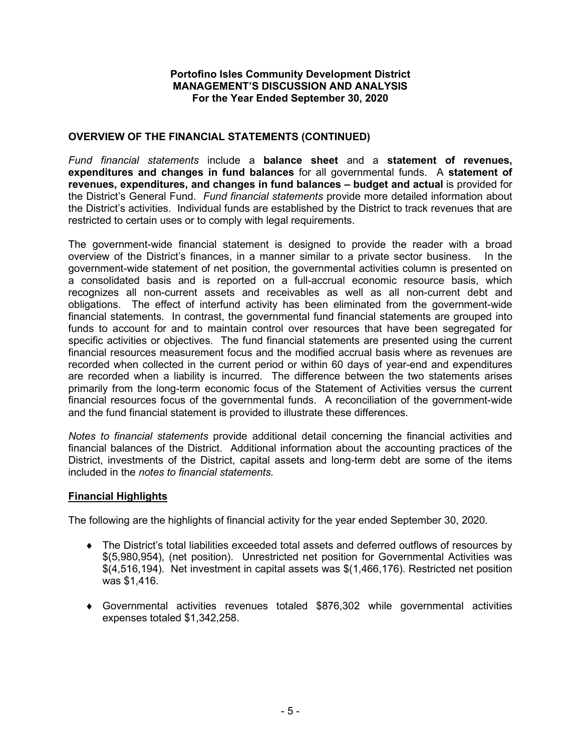## **OVERVIEW OF THE FINANCIAL STATEMENTS (CONTINUED)**

*Fund financial statements* include a **balance sheet** and a **statement of revenues, expenditures and changes in fund balances** for all governmental funds. A **statement of revenues, expenditures, and changes in fund balances – budget and actual** is provided for the District's General Fund. *Fund financial statements* provide more detailed information about the District's activities. Individual funds are established by the District to track revenues that are restricted to certain uses or to comply with legal requirements.

The government-wide financial statement is designed to provide the reader with a broad overview of the District's finances, in a manner similar to a private sector business. In the government-wide statement of net position, the governmental activities column is presented on a consolidated basis and is reported on a full-accrual economic resource basis, which recognizes all non-current assets and receivables as well as all non-current debt and obligations. The effect of interfund activity has been eliminated from the government-wide financial statements. In contrast, the governmental fund financial statements are grouped into funds to account for and to maintain control over resources that have been segregated for specific activities or objectives. The fund financial statements are presented using the current financial resources measurement focus and the modified accrual basis where as revenues are recorded when collected in the current period or within 60 days of year-end and expenditures are recorded when a liability is incurred. The difference between the two statements arises primarily from the long-term economic focus of the Statement of Activities versus the current financial resources focus of the governmental funds. A reconciliation of the government-wide and the fund financial statement is provided to illustrate these differences.

*Notes to financial statements* provide additional detail concerning the financial activities and financial balances of the District. Additional information about the accounting practices of the District, investments of the District, capital assets and long-term debt are some of the items included in the *notes to financial statements.*

## **Financial Highlights**

The following are the highlights of financial activity for the year ended September 30, 2020.

- ♦ The District's total liabilities exceeded total assets and deferred outflows of resources by \$(5,980,954), (net position). Unrestricted net position for Governmental Activities was \$(4,516,194). Net investment in capital assets was \$(1,466,176). Restricted net position was \$1,416.
- ♦ Governmental activities revenues totaled \$876,302 while governmental activities expenses totaled \$1,342,258.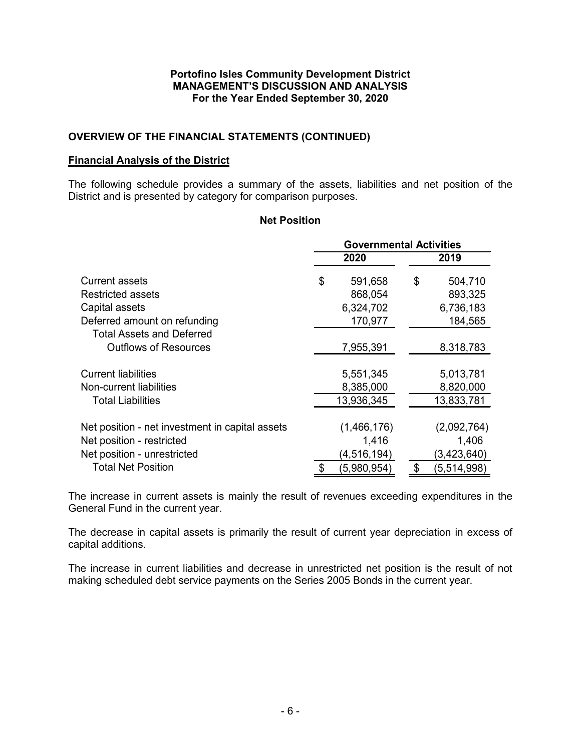## **OVERVIEW OF THE FINANCIAL STATEMENTS (CONTINUED)**

## **Financial Analysis of the District**

The following schedule provides a summary of the assets, liabilities and net position of the District and is presented by category for comparison purposes.

#### **Net Position**

|                                                 | <b>Governmental Activities</b> |             |    |             |
|-------------------------------------------------|--------------------------------|-------------|----|-------------|
|                                                 |                                | 2020        |    | 2019        |
| <b>Current assets</b>                           | \$                             | 591,658     | \$ | 504,710     |
| Restricted assets                               |                                | 868,054     |    | 893,325     |
| Capital assets                                  |                                | 6,324,702   |    | 6,736,183   |
| Deferred amount on refunding                    |                                | 170,977     |    | 184,565     |
| <b>Total Assets and Deferred</b>                |                                |             |    |             |
| <b>Outflows of Resources</b>                    |                                | 7,955,391   |    | 8,318,783   |
|                                                 |                                |             |    |             |
| <b>Current liabilities</b>                      |                                | 5,551,345   |    | 5,013,781   |
| Non-current liabilities                         |                                | 8,385,000   |    | 8,820,000   |
| <b>Total Liabilities</b>                        |                                | 13,936,345  |    | 13,833,781  |
|                                                 |                                |             |    |             |
| Net position - net investment in capital assets |                                | (1,466,176) |    | (2,092,764) |
| Net position - restricted                       |                                | 1,416       |    | 1,406       |
| Net position - unrestricted                     |                                | (4,516,194) |    | (3,423,640) |
| <b>Total Net Position</b>                       |                                | (5,980,954) |    | (5,514,998) |

The increase in current assets is mainly the result of revenues exceeding expenditures in the General Fund in the current year.

The decrease in capital assets is primarily the result of current year depreciation in excess of capital additions.

The increase in current liabilities and decrease in unrestricted net position is the result of not making scheduled debt service payments on the Series 2005 Bonds in the current year.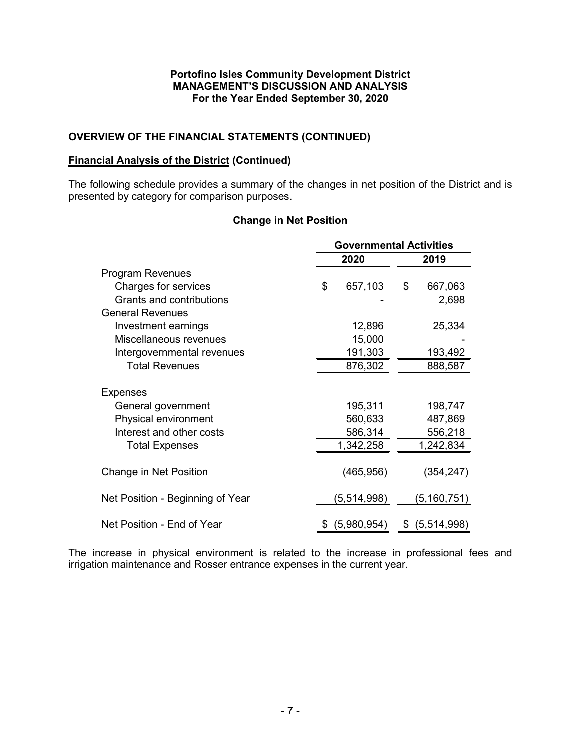## **OVERVIEW OF THE FINANCIAL STATEMENTS (CONTINUED)**

## **Financial Analysis of the District (Continued)**

The following schedule provides a summary of the changes in net position of the District and is presented by category for comparison purposes.

### **Change in Net Position**

|                                  | <b>Governmental Activities</b> |             |    |             |
|----------------------------------|--------------------------------|-------------|----|-------------|
|                                  | 2020<br>2019                   |             |    |             |
| <b>Program Revenues</b>          |                                |             |    |             |
| Charges for services             | \$                             | 657,103     | \$ | 667,063     |
| Grants and contributions         |                                |             |    | 2,698       |
| <b>General Revenues</b>          |                                |             |    |             |
| Investment earnings              |                                | 12,896      |    | 25,334      |
| Miscellaneous revenues           |                                | 15,000      |    |             |
| Intergovernmental revenues       |                                | 191,303     |    | 193,492     |
| <b>Total Revenues</b>            |                                | 876,302     |    | 888,587     |
| <b>Expenses</b>                  |                                |             |    |             |
| General government               |                                | 195,311     |    | 198,747     |
| Physical environment             |                                | 560,633     |    | 487,869     |
| Interest and other costs         |                                | 586,314     |    | 556,218     |
| <b>Total Expenses</b>            |                                | 1,342,258   |    | 1,242,834   |
|                                  |                                |             |    |             |
| Change in Net Position           |                                | (465, 956)  |    | (354, 247)  |
| Net Position - Beginning of Year |                                | (5,514,998) |    | (5,160,751) |
| Net Position - End of Year       |                                | (5,980,954) | \$ | (5,514,998) |

The increase in physical environment is related to the increase in professional fees and irrigation maintenance and Rosser entrance expenses in the current year.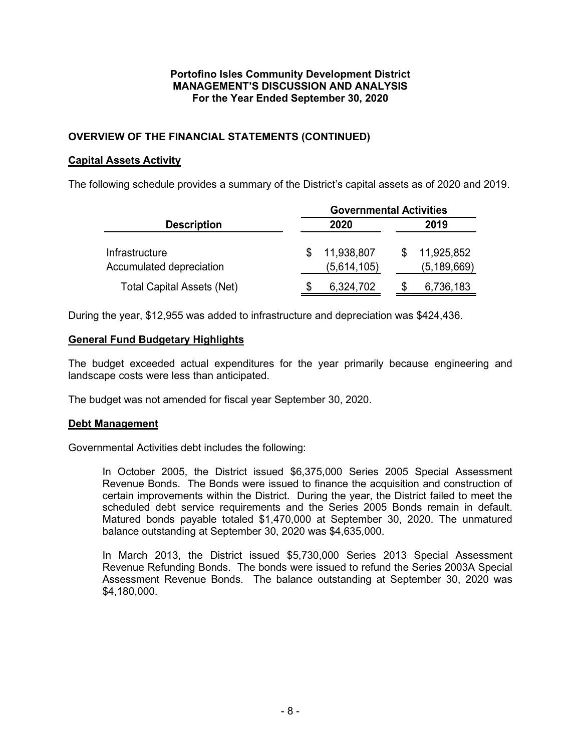# **OVERVIEW OF THE FINANCIAL STATEMENTS (CONTINUED)**

## **Capital Assets Activity**

The following schedule provides a summary of the District's capital assets as of 2020 and 2019.

|                                            |              | <b>Governmental Activities</b> |   |                             |  |  |
|--------------------------------------------|--------------|--------------------------------|---|-----------------------------|--|--|
| <b>Description</b>                         | 2019<br>2020 |                                |   |                             |  |  |
| Infrastructure<br>Accumulated depreciation |              | 11,938,807<br>(5,614,105)      |   | 11,925,852<br>(5, 189, 669) |  |  |
| Total Capital Assets (Net)                 |              | 6,324,702                      | S | 6,736,183                   |  |  |

During the year, \$12,955 was added to infrastructure and depreciation was \$424,436.

## **General Fund Budgetary Highlights**

The budget exceeded actual expenditures for the year primarily because engineering and landscape costs were less than anticipated.

The budget was not amended for fiscal year September 30, 2020.

## **Debt Management**

Governmental Activities debt includes the following:

In October 2005, the District issued \$6,375,000 Series 2005 Special Assessment Revenue Bonds. The Bonds were issued to finance the acquisition and construction of certain improvements within the District. During the year, the District failed to meet the scheduled debt service requirements and the Series 2005 Bonds remain in default. Matured bonds payable totaled \$1,470,000 at September 30, 2020. The unmatured balance outstanding at September 30, 2020 was \$4,635,000.

In March 2013, the District issued \$5,730,000 Series 2013 Special Assessment Revenue Refunding Bonds. The bonds were issued to refund the Series 2003A Special Assessment Revenue Bonds. The balance outstanding at September 30, 2020 was \$4,180,000.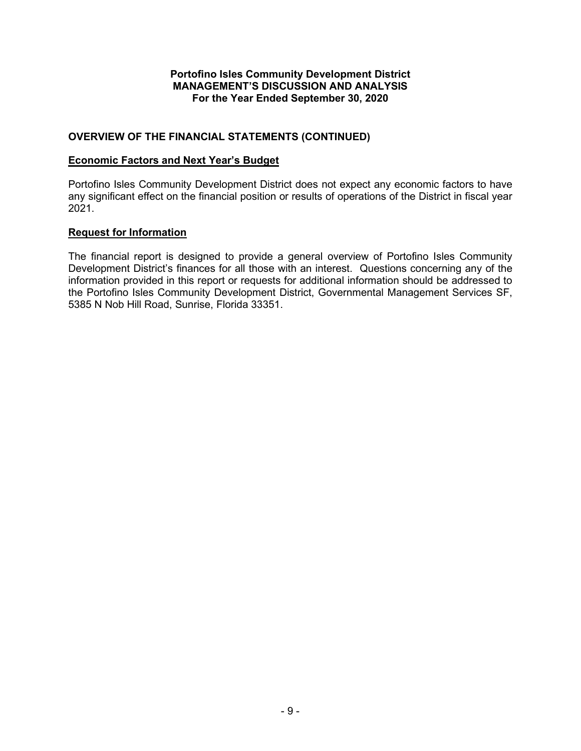## **OVERVIEW OF THE FINANCIAL STATEMENTS (CONTINUED)**

### **Economic Factors and Next Year's Budget**

Portofino Isles Community Development District does not expect any economic factors to have any significant effect on the financial position or results of operations of the District in fiscal year 2021.

### **Request for Information**

The financial report is designed to provide a general overview of Portofino Isles Community Development District's finances for all those with an interest. Questions concerning any of the information provided in this report or requests for additional information should be addressed to the Portofino Isles Community Development District, Governmental Management Services SF, 5385 N Nob Hill Road, Sunrise, Florida 33351.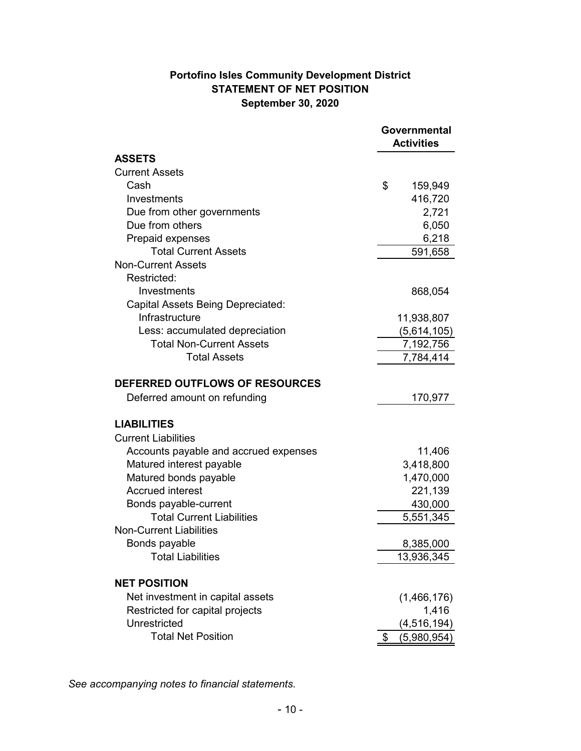# **Portofino Isles Community Development District STATEMENT OF NET POSITION September 30, 2020**

|                                                                | Governmental<br><b>Activities</b> |  |
|----------------------------------------------------------------|-----------------------------------|--|
| <b>ASSETS</b>                                                  |                                   |  |
| <b>Current Assets</b>                                          |                                   |  |
| Cash                                                           | \$<br>159,949                     |  |
| Investments                                                    | 416,720                           |  |
| Due from other governments                                     | 2,721                             |  |
| Due from others                                                | 6,050                             |  |
| Prepaid expenses                                               | 6,218                             |  |
| <b>Total Current Assets</b>                                    | 591,658                           |  |
| <b>Non-Current Assets</b>                                      |                                   |  |
| Restricted:                                                    |                                   |  |
| Investments                                                    | 868,054                           |  |
| Capital Assets Being Depreciated:                              |                                   |  |
| Infrastructure                                                 | 11,938,807                        |  |
| Less: accumulated depreciation                                 | (5,614,105)                       |  |
| <b>Total Non-Current Assets</b>                                | 7,192,756                         |  |
| <b>Total Assets</b>                                            | 7,784,414                         |  |
| DEFERRED OUTFLOWS OF RESOURCES<br>Deferred amount on refunding | 170,977                           |  |
| <b>LIABILITIES</b><br><b>Current Liabilities</b>               |                                   |  |
| Accounts payable and accrued expenses                          | 11,406                            |  |
| Matured interest payable                                       | 3,418,800                         |  |
| Matured bonds payable                                          | 1,470,000                         |  |
| <b>Accrued interest</b>                                        | 221,139                           |  |
| Bonds payable-current                                          | 430,000                           |  |
| <b>Total Current Liabilities</b>                               | 5,551,345                         |  |
| <b>Non-Current Liabilities</b>                                 |                                   |  |
| Bonds payable                                                  | 8,385,000                         |  |
| <b>Total Liabilities</b>                                       | 13,936,345                        |  |
| <b>NET POSITION</b>                                            |                                   |  |
| Net investment in capital assets                               | (1,466,176)                       |  |
| Restricted for capital projects                                | 1,416                             |  |
| Unrestricted                                                   | (4, 516, 194)                     |  |
| <b>Total Net Position</b>                                      | (5,980,954)<br>\$                 |  |

*See accompanying notes to financial statements.*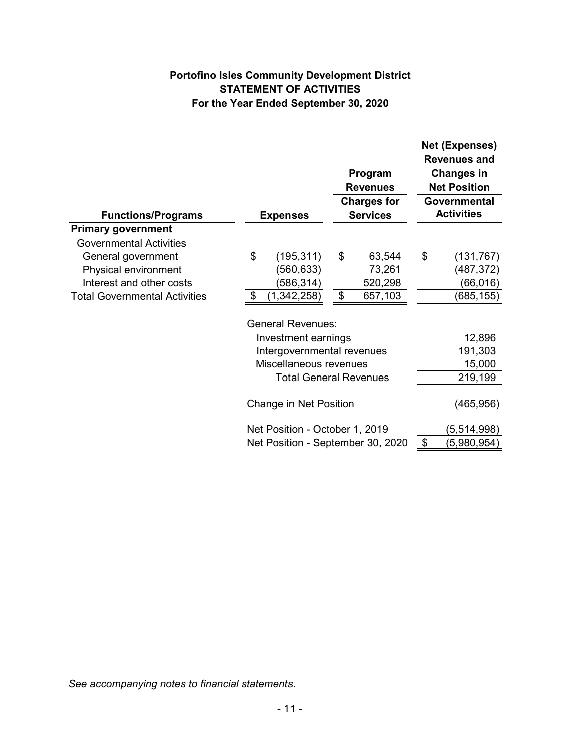# **Portofino Isles Community Development District STATEMENT OF ACTIVITIES For the Year Ended September 30, 2020**

| <b>Functions/Programs</b>                            | <b>Expenses</b>                   | Program<br><b>Revenues</b><br><b>Charges for</b><br><b>Services</b> | <b>Net (Expenses)</b><br><b>Revenues and</b><br><b>Changes in</b><br><b>Net Position</b><br>Governmental<br><b>Activities</b> |
|------------------------------------------------------|-----------------------------------|---------------------------------------------------------------------|-------------------------------------------------------------------------------------------------------------------------------|
| <b>Primary government</b>                            |                                   |                                                                     |                                                                                                                               |
| <b>Governmental Activities</b><br>General government | \$<br>(195, 311)                  | \$<br>63,544                                                        | \$<br>(131, 767)                                                                                                              |
| Physical environment                                 | (560, 633)                        | 73,261                                                              | (487, 372)                                                                                                                    |
| Interest and other costs                             | (586, 314)                        | 520,298                                                             | (66,016)                                                                                                                      |
| <b>Total Governmental Activities</b>                 | (1, 342, 258)<br>\$               | \$<br>657,103                                                       | (685,155)                                                                                                                     |
|                                                      | <b>General Revenues:</b>          |                                                                     |                                                                                                                               |
|                                                      | Investment earnings               |                                                                     | 12,896                                                                                                                        |
|                                                      | Intergovernmental revenues        |                                                                     | 191,303                                                                                                                       |
|                                                      | Miscellaneous revenues            |                                                                     | 15,000                                                                                                                        |
|                                                      |                                   | <b>Total General Revenues</b>                                       | 219,199                                                                                                                       |
|                                                      | Change in Net Position            |                                                                     | (465, 956)                                                                                                                    |
|                                                      | Net Position - October 1, 2019    |                                                                     | (5,514,998)                                                                                                                   |
|                                                      | Net Position - September 30, 2020 |                                                                     | \$<br>(5,980,954)                                                                                                             |

*See accompanying notes to financial statements.*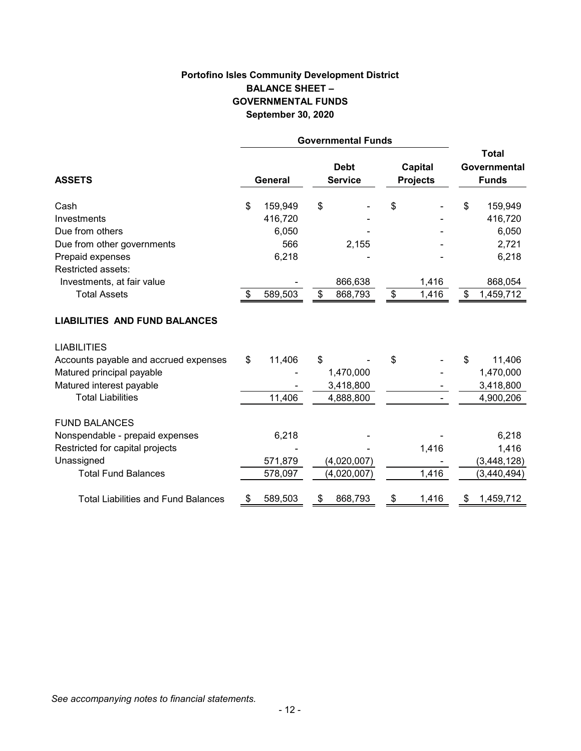# **Portofino Isles Community Development District BALANCE SHEET – GOVERNMENTAL FUNDS September 30, 2020**

|                                            |               | <b>Governmental Funds</b>     |                                   |                                              |
|--------------------------------------------|---------------|-------------------------------|-----------------------------------|----------------------------------------------|
| <b>ASSETS</b>                              | General       | <b>Debt</b><br><b>Service</b> | <b>Capital</b><br><b>Projects</b> | <b>Total</b><br>Governmental<br><b>Funds</b> |
| Cash                                       | \$<br>159,949 | \$                            | \$                                | \$<br>159,949                                |
| Investments                                | 416,720       |                               |                                   | 416,720                                      |
| Due from others                            | 6,050         |                               |                                   | 6,050                                        |
| Due from other governments                 | 566           | 2,155                         |                                   | 2,721                                        |
| Prepaid expenses<br>Restricted assets:     | 6,218         |                               |                                   | 6,218                                        |
| Investments, at fair value                 |               | 866,638                       | 1,416                             | 868,054                                      |
| <b>Total Assets</b>                        | 589,503       | \$<br>868,793                 | \$<br>1,416                       | \$<br>1,459,712                              |
| <b>LIABILITIES AND FUND BALANCES</b>       |               |                               |                                   |                                              |
| <b>LIABILITIES</b>                         |               |                               |                                   |                                              |
| Accounts payable and accrued expenses      | \$<br>11,406  | \$                            | \$                                | \$<br>11,406                                 |
| Matured principal payable                  |               | 1,470,000                     |                                   | 1,470,000                                    |
| Matured interest payable                   |               | 3,418,800                     |                                   | 3,418,800                                    |
| <b>Total Liabilities</b>                   | 11,406        | 4,888,800                     |                                   | 4,900,206                                    |
| <b>FUND BALANCES</b>                       |               |                               |                                   |                                              |
| Nonspendable - prepaid expenses            | 6,218         |                               |                                   | 6,218                                        |
| Restricted for capital projects            |               |                               | 1,416                             | 1,416                                        |
| Unassigned                                 | 571,879       | (4,020,007)                   |                                   | (3, 448, 128)                                |
| <b>Total Fund Balances</b>                 | 578,097       | (4,020,007)                   | 1,416                             | (3,440,494)                                  |
| <b>Total Liabilities and Fund Balances</b> | \$<br>589,503 | \$<br>868,793                 | \$<br>1,416                       | \$<br>1,459,712                              |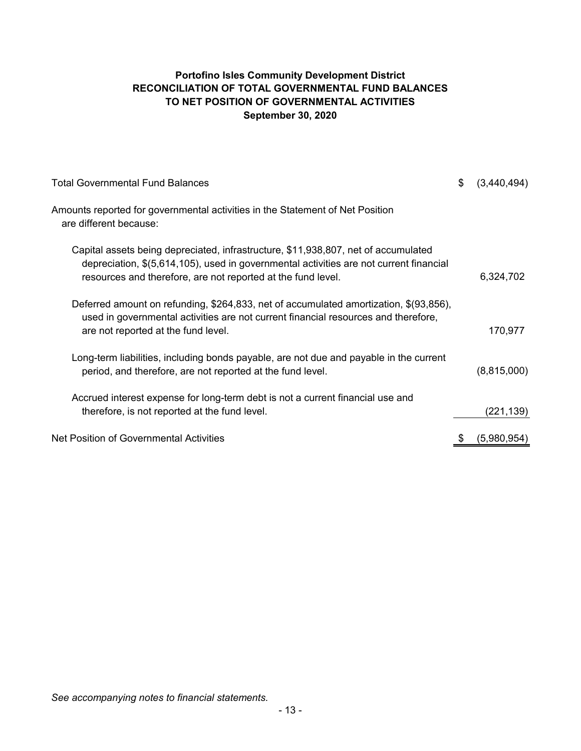# **September 30, 2020 Portofino Isles Community Development District RECONCILIATION OF TOTAL GOVERNMENTAL FUND BALANCES TO NET POSITION OF GOVERNMENTAL ACTIVITIES**

| <b>Total Governmental Fund Balances</b>                                                                                                                                                                                                      | \$<br>(3,440,494) |
|----------------------------------------------------------------------------------------------------------------------------------------------------------------------------------------------------------------------------------------------|-------------------|
| Amounts reported for governmental activities in the Statement of Net Position<br>are different because:                                                                                                                                      |                   |
| Capital assets being depreciated, infrastructure, \$11,938,807, net of accumulated<br>depreciation, \$(5,614,105), used in governmental activities are not current financial<br>resources and therefore, are not reported at the fund level. | 6,324,702         |
| Deferred amount on refunding, \$264,833, net of accumulated amortization, \$(93,856),<br>used in governmental activities are not current financial resources and therefore,<br>are not reported at the fund level.                           | 170,977           |
| Long-term liabilities, including bonds payable, are not due and payable in the current<br>period, and therefore, are not reported at the fund level.                                                                                         | (8,815,000)       |
| Accrued interest expense for long-term debt is not a current financial use and<br>therefore, is not reported at the fund level.                                                                                                              | (221, 139)        |
| Net Position of Governmental Activities                                                                                                                                                                                                      | \$<br>(5,980,954) |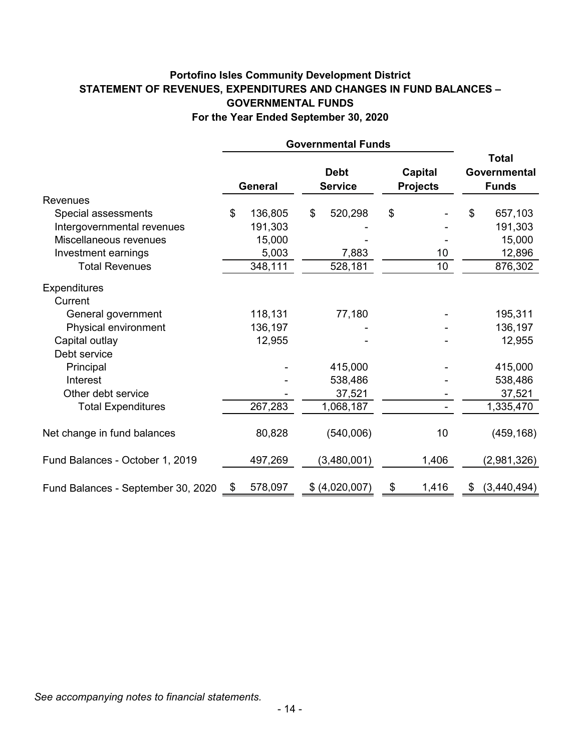# **Portofino Isles Community Development District STATEMENT OF REVENUES, EXPENDITURES AND CHANGES IN FUND BALANCES – GOVERNMENTAL FUNDS For the Year Ended September 30, 2020**

|                                    | <b>Governmental Funds</b> |                |    |                               |    |                            |                                              |
|------------------------------------|---------------------------|----------------|----|-------------------------------|----|----------------------------|----------------------------------------------|
|                                    |                           | <b>General</b> |    | <b>Debt</b><br><b>Service</b> |    | Capital<br><b>Projects</b> | <b>Total</b><br>Governmental<br><b>Funds</b> |
| <b>Revenues</b>                    |                           |                |    |                               |    |                            |                                              |
| Special assessments                | \$                        | 136,805        | \$ | 520,298                       | \$ |                            | \$<br>657,103                                |
| Intergovernmental revenues         |                           | 191,303        |    |                               |    |                            | 191,303                                      |
| Miscellaneous revenues             |                           | 15,000         |    |                               |    |                            | 15,000                                       |
| Investment earnings                |                           | 5,003          |    | 7,883                         |    | 10                         | 12,896                                       |
| <b>Total Revenues</b>              |                           | 348,111        |    | 528,181                       |    | 10                         | 876,302                                      |
| <b>Expenditures</b><br>Current     |                           |                |    |                               |    |                            |                                              |
| General government                 |                           | 118,131        |    | 77,180                        |    |                            | 195,311                                      |
| Physical environment               |                           | 136,197        |    |                               |    |                            | 136,197                                      |
| Capital outlay                     |                           | 12,955         |    |                               |    |                            | 12,955                                       |
| Debt service                       |                           |                |    |                               |    |                            |                                              |
| Principal                          |                           |                |    | 415,000                       |    |                            | 415,000                                      |
| Interest                           |                           |                |    | 538,486                       |    |                            | 538,486                                      |
| Other debt service                 |                           |                |    | 37,521                        |    |                            | 37,521                                       |
| <b>Total Expenditures</b>          |                           | 267,283        |    | 1,068,187                     |    |                            | 1,335,470                                    |
| Net change in fund balances        |                           | 80,828         |    | (540,006)                     |    | 10                         | (459, 168)                                   |
| Fund Balances - October 1, 2019    |                           | 497,269        |    | (3,480,001)                   |    | 1,406                      | (2,981,326)                                  |
| Fund Balances - September 30, 2020 | \$                        | 578,097        |    | \$ (4,020,007)                | \$ | 1,416                      | \$<br>(3,440,494)                            |

*See accompanying notes to financial statements.*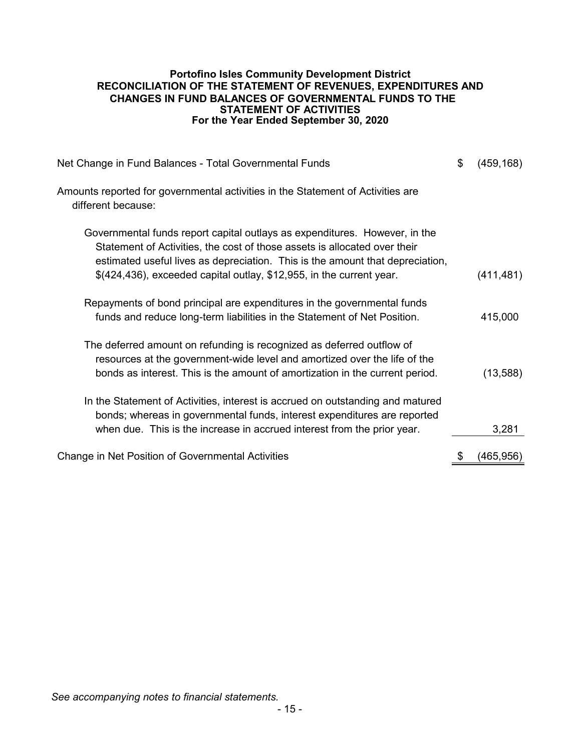#### **CHANGES IN FUND BALANCES OF GOVERNMENTAL FUNDS TO THE Portofino Isles Community Development District RECONCILIATION OF THE STATEMENT OF REVENUES, EXPENDITURES AND STATEMENT OF ACTIVITIES For the Year Ended September 30, 2020**

| Net Change in Fund Balances - Total Governmental Funds                                                                                                                                                                                   | \$<br>(459, 168) |
|------------------------------------------------------------------------------------------------------------------------------------------------------------------------------------------------------------------------------------------|------------------|
| Amounts reported for governmental activities in the Statement of Activities are<br>different because:                                                                                                                                    |                  |
| Governmental funds report capital outlays as expenditures. However, in the<br>Statement of Activities, the cost of those assets is allocated over their<br>estimated useful lives as depreciation. This is the amount that depreciation, |                  |
| $$(424,436)$ , exceeded capital outlay, $$12,955$ , in the current year.                                                                                                                                                                 | (411, 481)       |
| Repayments of bond principal are expenditures in the governmental funds<br>funds and reduce long-term liabilities in the Statement of Net Position.                                                                                      | 415,000          |
| The deferred amount on refunding is recognized as deferred outflow of<br>resources at the government-wide level and amortized over the life of the<br>bonds as interest. This is the amount of amortization in the current period.       | (13, 588)        |
| In the Statement of Activities, interest is accrued on outstanding and matured<br>bonds; whereas in governmental funds, interest expenditures are reported<br>when due. This is the increase in accrued interest from the prior year.    | 3,281            |
| Change in Net Position of Governmental Activities                                                                                                                                                                                        | (465,956)        |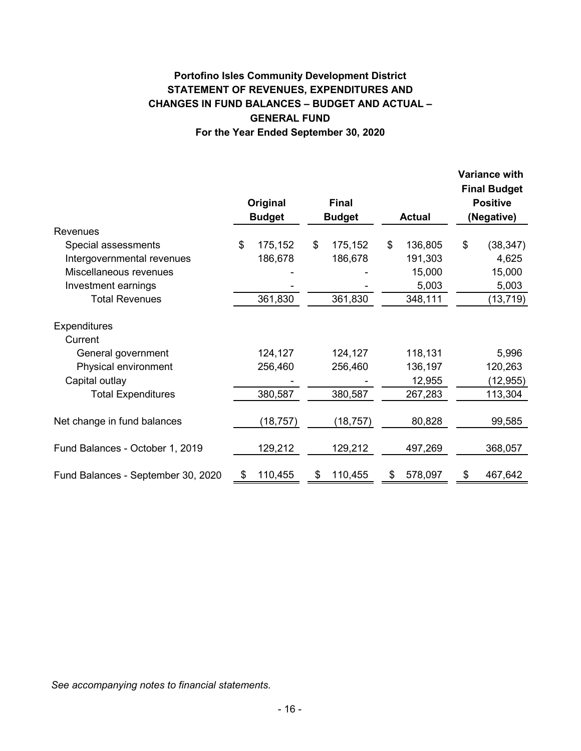# **Portofino Isles Community Development District STATEMENT OF REVENUES, EXPENDITURES AND GENERAL FUND For the Year Ended September 30, 2020 CHANGES IN FUND BALANCES – BUDGET AND ACTUAL –**

|                                    |               |               |    |               | <b>Variance with</b><br><b>Final Budget</b> |
|------------------------------------|---------------|---------------|----|---------------|---------------------------------------------|
|                                    | Original      | <b>Final</b>  |    |               | <b>Positive</b>                             |
|                                    | <b>Budget</b> | <b>Budget</b> |    | <b>Actual</b> | (Negative)                                  |
| Revenues                           |               |               |    |               |                                             |
| Special assessments                | \$<br>175,152 | \$<br>175,152 | \$ | 136,805       | \$<br>(38, 347)                             |
| Intergovernmental revenues         | 186,678       | 186,678       |    | 191,303       | 4,625                                       |
| Miscellaneous revenues             |               |               |    | 15,000        | 15,000                                      |
| Investment earnings                |               |               |    | 5,003         | 5,003                                       |
| <b>Total Revenues</b>              | 361,830       | 361,830       |    | 348,111       | (13, 719)                                   |
| <b>Expenditures</b><br>Current     |               |               |    |               |                                             |
| General government                 | 124,127       | 124,127       |    | 118,131       | 5,996                                       |
| Physical environment               | 256,460       | 256,460       |    | 136,197       | 120,263                                     |
| Capital outlay                     |               |               |    | 12,955        | (12,955)                                    |
| <b>Total Expenditures</b>          | 380,587       | 380,587       |    | 267,283       | 113,304                                     |
| Net change in fund balances        | (18, 757)     | (18, 757)     |    | 80,828        | 99,585                                      |
| Fund Balances - October 1, 2019    | 129,212       | 129,212       |    | 497,269       | 368,057                                     |
| Fund Balances - September 30, 2020 | \$<br>110,455 | 110,455       | S  | 578,097       | \$<br>467,642                               |

*See accompanying notes to financial statements.*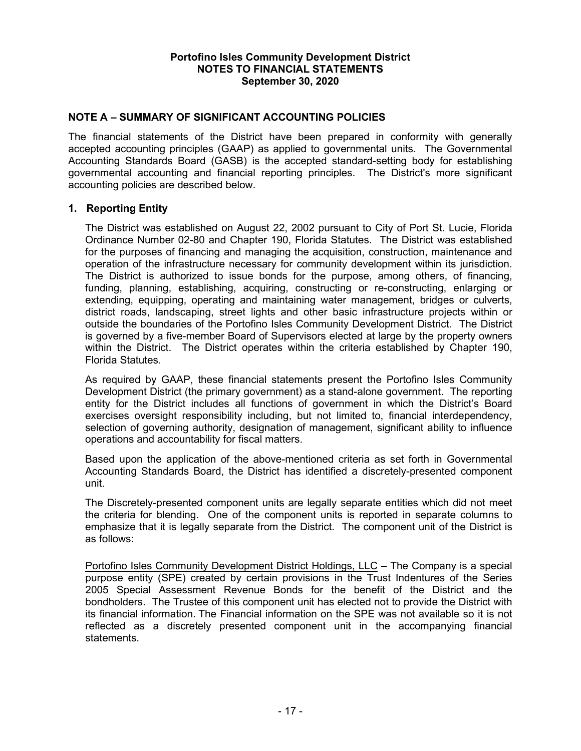## **NOTE A – SUMMARY OF SIGNIFICANT ACCOUNTING POLICIES**

The financial statements of the District have been prepared in conformity with generally accepted accounting principles (GAAP) as applied to governmental units. The Governmental Accounting Standards Board (GASB) is the accepted standard-setting body for establishing governmental accounting and financial reporting principles. The District's more significant accounting policies are described below.

### **1. Reporting Entity**

The District was established on August 22, 2002 pursuant to City of Port St. Lucie, Florida Ordinance Number 02-80 and Chapter 190, Florida Statutes. The District was established for the purposes of financing and managing the acquisition, construction, maintenance and operation of the infrastructure necessary for community development within its jurisdiction. The District is authorized to issue bonds for the purpose, among others, of financing, funding, planning, establishing, acquiring, constructing or re-constructing, enlarging or extending, equipping, operating and maintaining water management, bridges or culverts, district roads, landscaping, street lights and other basic infrastructure projects within or outside the boundaries of the Portofino Isles Community Development District. The District is governed by a five-member Board of Supervisors elected at large by the property owners within the District. The District operates within the criteria established by Chapter 190, Florida Statutes.

As required by GAAP, these financial statements present the Portofino Isles Community Development District (the primary government) as a stand-alone government. The reporting entity for the District includes all functions of government in which the District's Board exercises oversight responsibility including, but not limited to, financial interdependency, selection of governing authority, designation of management, significant ability to influence operations and accountability for fiscal matters.

Based upon the application of the above-mentioned criteria as set forth in Governmental Accounting Standards Board, the District has identified a discretely-presented component unit.

The Discretely-presented component units are legally separate entities which did not meet the criteria for blending. One of the component units is reported in separate columns to emphasize that it is legally separate from the District. The component unit of the District is as follows:

Portofino Isles Community Development District Holdings, LLC – The Company is a special purpose entity (SPE) created by certain provisions in the Trust Indentures of the Series 2005 Special Assessment Revenue Bonds for the benefit of the District and the bondholders. The Trustee of this component unit has elected not to provide the District with its financial information. The Financial information on the SPE was not available so it is not reflected as a discretely presented component unit in the accompanying financial statements.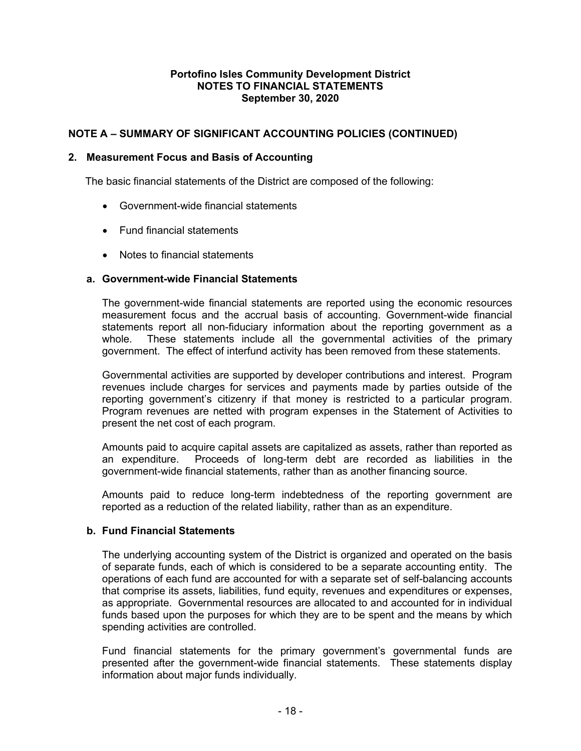# **NOTE A – SUMMARY OF SIGNIFICANT ACCOUNTING POLICIES (CONTINUED)**

#### **2. Measurement Focus and Basis of Accounting**

The basic financial statements of the District are composed of the following:

- Government-wide financial statements
- Fund financial statements
- Notes to financial statements

#### **a. Government-wide Financial Statements**

The government-wide financial statements are reported using the economic resources measurement focus and the accrual basis of accounting. Government-wide financial statements report all non-fiduciary information about the reporting government as a whole. These statements include all the governmental activities of the primary government. The effect of interfund activity has been removed from these statements.

Governmental activities are supported by developer contributions and interest. Program revenues include charges for services and payments made by parties outside of the reporting government's citizenry if that money is restricted to a particular program. Program revenues are netted with program expenses in the Statement of Activities to present the net cost of each program.

Amounts paid to acquire capital assets are capitalized as assets, rather than reported as an expenditure. Proceeds of long-term debt are recorded as liabilities in the government-wide financial statements, rather than as another financing source.

Amounts paid to reduce long-term indebtedness of the reporting government are reported as a reduction of the related liability, rather than as an expenditure.

#### **b. Fund Financial Statements**

The underlying accounting system of the District is organized and operated on the basis of separate funds, each of which is considered to be a separate accounting entity. The operations of each fund are accounted for with a separate set of self-balancing accounts that comprise its assets, liabilities, fund equity, revenues and expenditures or expenses, as appropriate. Governmental resources are allocated to and accounted for in individual funds based upon the purposes for which they are to be spent and the means by which spending activities are controlled.

Fund financial statements for the primary government's governmental funds are presented after the government-wide financial statements. These statements display information about major funds individually.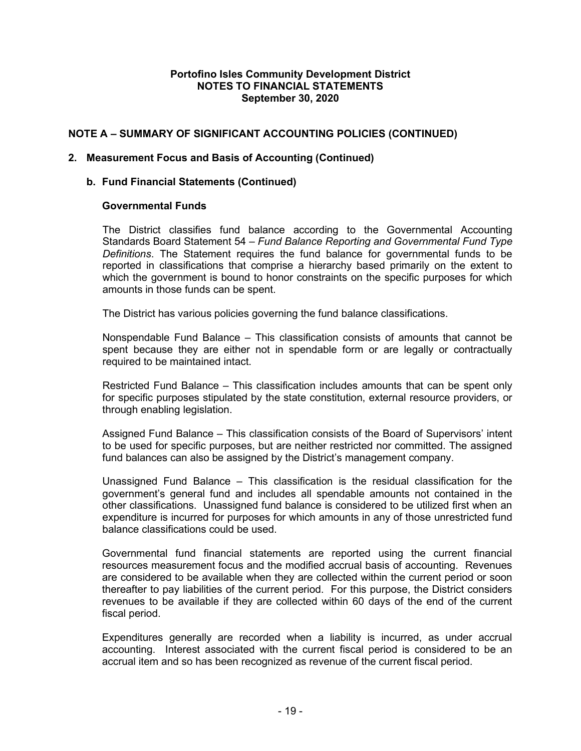# **NOTE A – SUMMARY OF SIGNIFICANT ACCOUNTING POLICIES (CONTINUED)**

### **2. Measurement Focus and Basis of Accounting (Continued)**

### **b. Fund Financial Statements (Continued)**

### **Governmental Funds**

The District classifies fund balance according to the Governmental Accounting Standards Board Statement 54 – *Fund Balance Reporting and Governmental Fund Type Definitions*. The Statement requires the fund balance for governmental funds to be reported in classifications that comprise a hierarchy based primarily on the extent to which the government is bound to honor constraints on the specific purposes for which amounts in those funds can be spent.

The District has various policies governing the fund balance classifications.

Nonspendable Fund Balance – This classification consists of amounts that cannot be spent because they are either not in spendable form or are legally or contractually required to be maintained intact.

Restricted Fund Balance *–* This classification includes amounts that can be spent only for specific purposes stipulated by the state constitution, external resource providers, or through enabling legislation.

Assigned Fund Balance – This classification consists of the Board of Supervisors' intent to be used for specific purposes, but are neither restricted nor committed. The assigned fund balances can also be assigned by the District's management company.

Unassigned Fund Balance – This classification is the residual classification for the government's general fund and includes all spendable amounts not contained in the other classifications. Unassigned fund balance is considered to be utilized first when an expenditure is incurred for purposes for which amounts in any of those unrestricted fund balance classifications could be used.

Governmental fund financial statements are reported using the current financial resources measurement focus and the modified accrual basis of accounting. Revenues are considered to be available when they are collected within the current period or soon thereafter to pay liabilities of the current period. For this purpose, the District considers revenues to be available if they are collected within 60 days of the end of the current fiscal period.

Expenditures generally are recorded when a liability is incurred, as under accrual accounting. Interest associated with the current fiscal period is considered to be an accrual item and so has been recognized as revenue of the current fiscal period.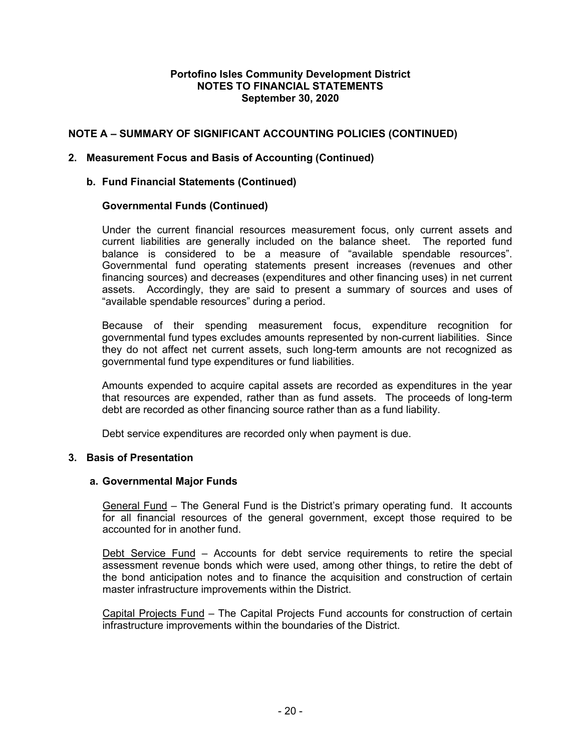# **NOTE A – SUMMARY OF SIGNIFICANT ACCOUNTING POLICIES (CONTINUED)**

## **2. Measurement Focus and Basis of Accounting (Continued)**

### **b. Fund Financial Statements (Continued)**

### **Governmental Funds (Continued)**

Under the current financial resources measurement focus, only current assets and current liabilities are generally included on the balance sheet. The reported fund balance is considered to be a measure of "available spendable resources". Governmental fund operating statements present increases (revenues and other financing sources) and decreases (expenditures and other financing uses) in net current assets. Accordingly, they are said to present a summary of sources and uses of "available spendable resources" during a period.

Because of their spending measurement focus, expenditure recognition for governmental fund types excludes amounts represented by non-current liabilities. Since they do not affect net current assets, such long-term amounts are not recognized as governmental fund type expenditures or fund liabilities.

Amounts expended to acquire capital assets are recorded as expenditures in the year that resources are expended, rather than as fund assets. The proceeds of long-term debt are recorded as other financing source rather than as a fund liability.

Debt service expenditures are recorded only when payment is due.

#### **3. Basis of Presentation**

#### **a. Governmental Major Funds**

General Fund - The General Fund is the District's primary operating fund. It accounts for all financial resources of the general government, except those required to be accounted for in another fund.

Debt Service Fund – Accounts for debt service requirements to retire the special assessment revenue bonds which were used, among other things, to retire the debt of the bond anticipation notes and to finance the acquisition and construction of certain master infrastructure improvements within the District.

Capital Projects Fund – The Capital Projects Fund accounts for construction of certain infrastructure improvements within the boundaries of the District.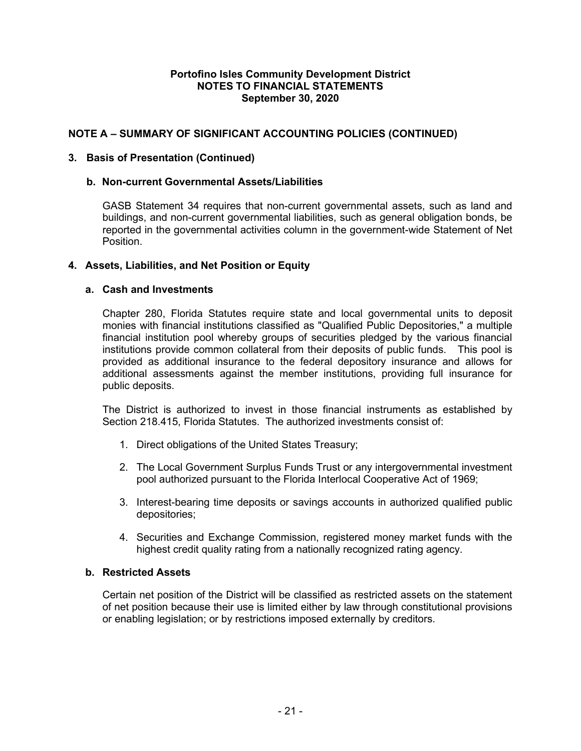# **NOTE A – SUMMARY OF SIGNIFICANT ACCOUNTING POLICIES (CONTINUED)**

### **3. Basis of Presentation (Continued)**

#### **b. Non-current Governmental Assets/Liabilities**

GASB Statement 34 requires that non-current governmental assets, such as land and buildings, and non-current governmental liabilities, such as general obligation bonds, be reported in the governmental activities column in the government-wide Statement of Net **Position** 

### **4. Assets, Liabilities, and Net Position or Equity**

#### **a. Cash and Investments**

Chapter 280, Florida Statutes require state and local governmental units to deposit monies with financial institutions classified as "Qualified Public Depositories," a multiple financial institution pool whereby groups of securities pledged by the various financial institutions provide common collateral from their deposits of public funds. This pool is provided as additional insurance to the federal depository insurance and allows for additional assessments against the member institutions, providing full insurance for public deposits.

The District is authorized to invest in those financial instruments as established by Section 218.415, Florida Statutes. The authorized investments consist of:

- 1. Direct obligations of the United States Treasury;
- 2. The Local Government Surplus Funds Trust or any intergovernmental investment pool authorized pursuant to the Florida Interlocal Cooperative Act of 1969;
- 3. Interest-bearing time deposits or savings accounts in authorized qualified public depositories;
- 4. Securities and Exchange Commission, registered money market funds with the highest credit quality rating from a nationally recognized rating agency.

#### **b. Restricted Assets**

Certain net position of the District will be classified as restricted assets on the statement of net position because their use is limited either by law through constitutional provisions or enabling legislation; or by restrictions imposed externally by creditors.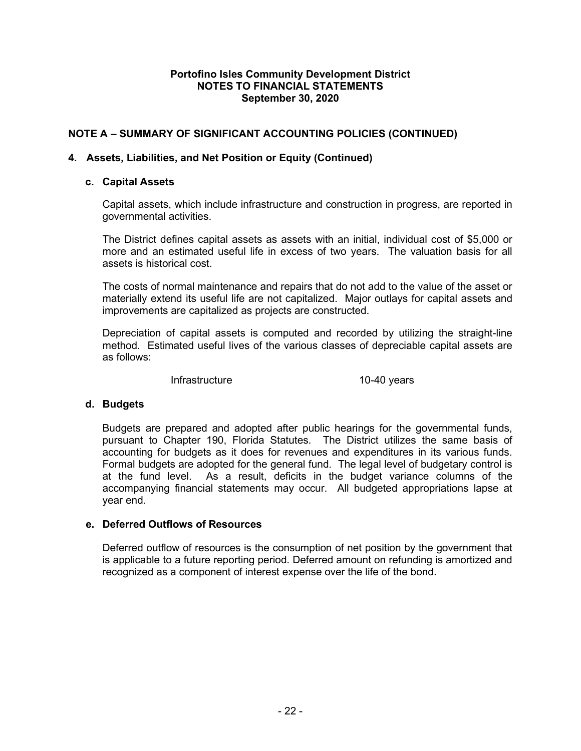# **NOTE A – SUMMARY OF SIGNIFICANT ACCOUNTING POLICIES (CONTINUED)**

### **4. Assets, Liabilities, and Net Position or Equity (Continued)**

#### **c. Capital Assets**

Capital assets, which include infrastructure and construction in progress, are reported in governmental activities.

The District defines capital assets as assets with an initial, individual cost of \$5,000 or more and an estimated useful life in excess of two years. The valuation basis for all assets is historical cost.

The costs of normal maintenance and repairs that do not add to the value of the asset or materially extend its useful life are not capitalized. Major outlays for capital assets and improvements are capitalized as projects are constructed.

Depreciation of capital assets is computed and recorded by utilizing the straight-line method. Estimated useful lives of the various classes of depreciable capital assets are as follows:

Infrastructure 10-40 years

#### **d. Budgets**

Budgets are prepared and adopted after public hearings for the governmental funds, pursuant to Chapter 190, Florida Statutes. The District utilizes the same basis of accounting for budgets as it does for revenues and expenditures in its various funds. Formal budgets are adopted for the general fund. The legal level of budgetary control is at the fund level. As a result, deficits in the budget variance columns of the accompanying financial statements may occur. All budgeted appropriations lapse at year end.

## **e. Deferred Outflows of Resources**

Deferred outflow of resources is the consumption of net position by the government that is applicable to a future reporting period. Deferred amount on refunding is amortized and recognized as a component of interest expense over the life of the bond.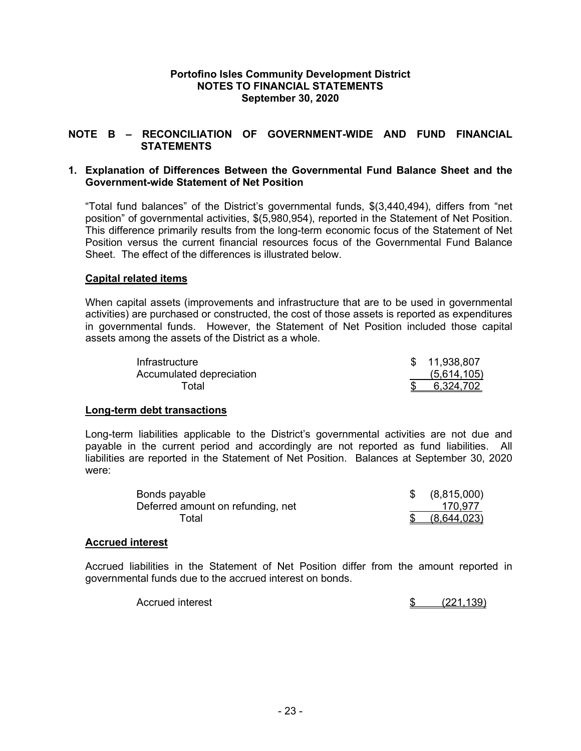## **NOTE B – RECONCILIATION OF GOVERNMENT-WIDE AND FUND FINANCIAL STATEMENTS**

### **1. Explanation of Differences Between the Governmental Fund Balance Sheet and the Government-wide Statement of Net Position**

"Total fund balances" of the District's governmental funds, \$(3,440,494), differs from "net position" of governmental activities, \$(5,980,954), reported in the Statement of Net Position. This difference primarily results from the long-term economic focus of the Statement of Net Position versus the current financial resources focus of the Governmental Fund Balance Sheet. The effect of the differences is illustrated below.

### **Capital related items**

When capital assets (improvements and infrastructure that are to be used in governmental activities) are purchased or constructed, the cost of those assets is reported as expenditures in governmental funds. However, the Statement of Net Position included those capital assets among the assets of the District as a whole.

| Infrastructure           | \$11,938,807 |
|--------------------------|--------------|
| Accumulated depreciation | (5,614,105)  |
| Total                    | 6,324,702    |

#### **Long-term debt transactions**

Long-term liabilities applicable to the District's governmental activities are not due and payable in the current period and accordingly are not reported as fund liabilities. All liabilities are reported in the Statement of Net Position. Balances at September 30, 2020 were:

| Bonds payable                     | \$ (8,815,000) |
|-----------------------------------|----------------|
| Deferred amount on refunding, net | 170,977        |
| Total                             | \$ (8.644.023) |

#### **Accrued interest**

Accrued liabilities in the Statement of Net Position differ from the amount reported in governmental funds due to the accrued interest on bonds.

| Accrued interest | (221.139) |  |
|------------------|-----------|--|
|                  |           |  |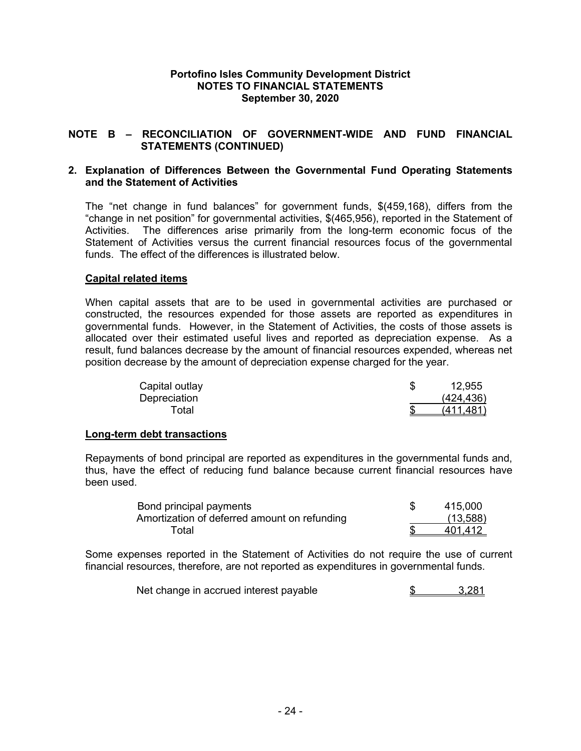## **NOTE B – RECONCILIATION OF GOVERNMENT-WIDE AND FUND FINANCIAL STATEMENTS (CONTINUED)**

#### **2. Explanation of Differences Between the Governmental Fund Operating Statements and the Statement of Activities**

The "net change in fund balances" for government funds, \$(459,168), differs from the "change in net position" for governmental activities, \$(465,956), reported in the Statement of Activities. The differences arise primarily from the long-term economic focus of the Statement of Activities versus the current financial resources focus of the governmental funds. The effect of the differences is illustrated below.

### **Capital related items**

When capital assets that are to be used in governmental activities are purchased or constructed, the resources expended for those assets are reported as expenditures in governmental funds. However, in the Statement of Activities, the costs of those assets is allocated over their estimated useful lives and reported as depreciation expense. As a result, fund balances decrease by the amount of financial resources expended, whereas net position decrease by the amount of depreciation expense charged for the year.

| Capital outlay | 12,955     |
|----------------|------------|
| Depreciation   | (424, 436) |
| Total          | (411, 481) |

#### **Long-term debt transactions**

Repayments of bond principal are reported as expenditures in the governmental funds and, thus, have the effect of reducing fund balance because current financial resources have been used.

| Bond principal payments                      | 415,000  |
|----------------------------------------------|----------|
| Amortization of deferred amount on refunding | (13,588) |
| Total                                        | 401.412  |

Some expenses reported in the Statement of Activities do not require the use of current financial resources, therefore, are not reported as expenditures in governmental funds.

| Net change in accrued interest payable | 3,281 |
|----------------------------------------|-------|
|----------------------------------------|-------|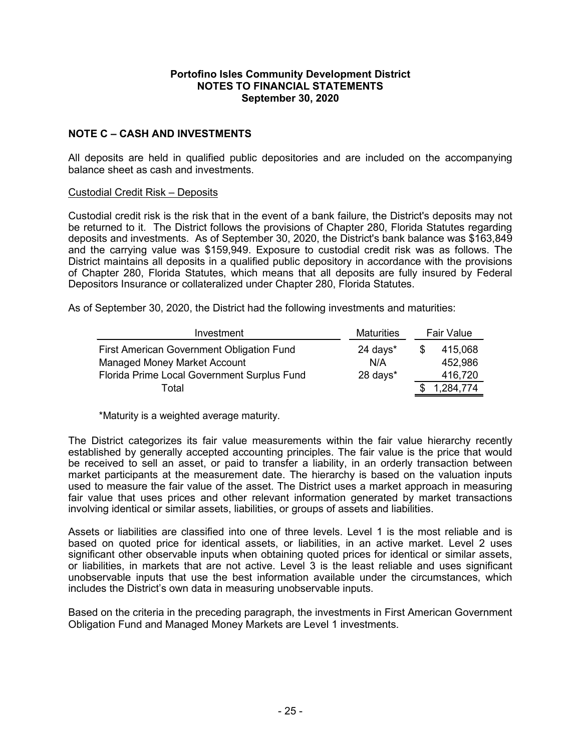## **NOTE C – CASH AND INVESTMENTS**

All deposits are held in qualified public depositories and are included on the accompanying balance sheet as cash and investments.

#### Custodial Credit Risk – Deposits

Custodial credit risk is the risk that in the event of a bank failure, the District's deposits may not be returned to it. The District follows the provisions of Chapter 280, Florida Statutes regarding deposits and investments. As of September 30, 2020, the District's bank balance was \$163,849 and the carrying value was \$159,949. Exposure to custodial credit risk was as follows. The District maintains all deposits in a qualified public depository in accordance with the provisions of Chapter 280, Florida Statutes, which means that all deposits are fully insured by Federal Depositors Insurance or collateralized under Chapter 280, Florida Statutes.

As of September 30, 2020, the District had the following investments and maturities:

| Investment                                  | <b>Maturities</b> | <b>Fair Value</b> |
|---------------------------------------------|-------------------|-------------------|
| First American Government Obligation Fund   | 24 days*          | 415,068           |
| Managed Money Market Account                | N/A               | 452,986           |
| Florida Prime Local Government Surplus Fund | 28 days*          | 416,720           |
| Total                                       |                   | ,284,774          |

\*Maturity is a weighted average maturity.

The District categorizes its fair value measurements within the fair value hierarchy recently established by generally accepted accounting principles. The fair value is the price that would be received to sell an asset, or paid to transfer a liability, in an orderly transaction between market participants at the measurement date. The hierarchy is based on the valuation inputs used to measure the fair value of the asset. The District uses a market approach in measuring fair value that uses prices and other relevant information generated by market transactions involving identical or similar assets, liabilities, or groups of assets and liabilities.

Assets or liabilities are classified into one of three levels. Level 1 is the most reliable and is based on quoted price for identical assets, or liabilities, in an active market. Level 2 uses significant other observable inputs when obtaining quoted prices for identical or similar assets, or liabilities, in markets that are not active. Level 3 is the least reliable and uses significant unobservable inputs that use the best information available under the circumstances, which includes the District's own data in measuring unobservable inputs.

Based on the criteria in the preceding paragraph, the investments in First American Government Obligation Fund and Managed Money Markets are Level 1 investments.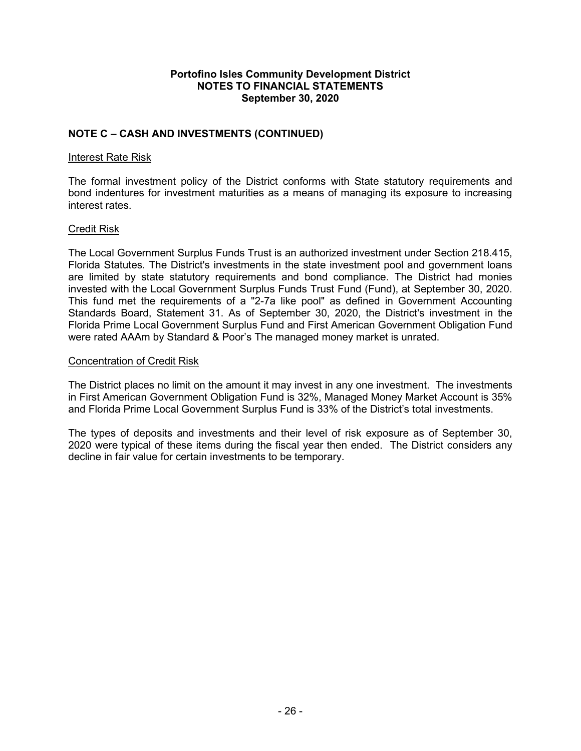## **NOTE C – CASH AND INVESTMENTS (CONTINUED)**

#### Interest Rate Risk

The formal investment policy of the District conforms with State statutory requirements and bond indentures for investment maturities as a means of managing its exposure to increasing interest rates.

### Credit Risk

The Local Government Surplus Funds Trust is an authorized investment under Section 218.415, Florida Statutes. The District's investments in the state investment pool and government loans are limited by state statutory requirements and bond compliance. The District had monies invested with the Local Government Surplus Funds Trust Fund (Fund), at September 30, 2020. This fund met the requirements of a "2-7a like pool" as defined in Government Accounting Standards Board, Statement 31. As of September 30, 2020, the District's investment in the Florida Prime Local Government Surplus Fund and First American Government Obligation Fund were rated AAAm by Standard & Poor's The managed money market is unrated.

### Concentration of Credit Risk

The District places no limit on the amount it may invest in any one investment. The investments in First American Government Obligation Fund is 32%, Managed Money Market Account is 35% and Florida Prime Local Government Surplus Fund is 33% of the District's total investments.

The types of deposits and investments and their level of risk exposure as of September 30, 2020 were typical of these items during the fiscal year then ended. The District considers any decline in fair value for certain investments to be temporary.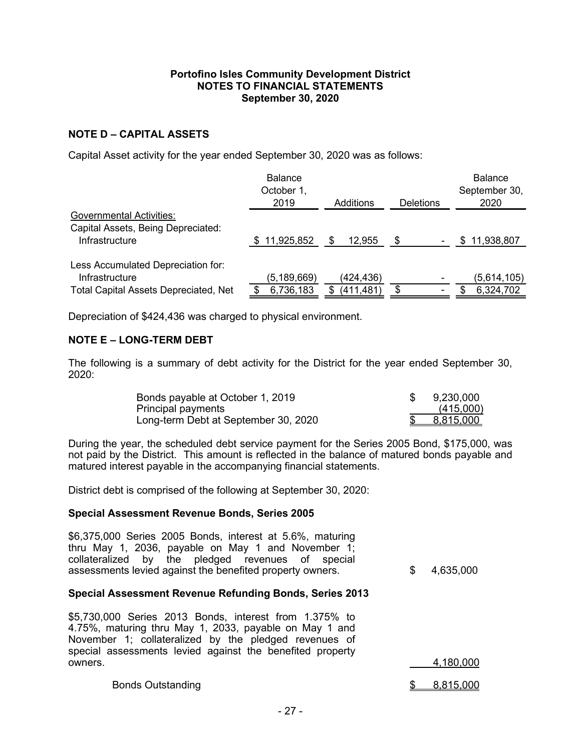# **NOTE D – CAPITAL ASSETS**

Capital Asset activity for the year ended September 30, 2020 was as follows:

|                                                                                                      | <b>Balance</b><br>October 1,<br>2019 | Additions               | <b>Deletions</b> | <b>Balance</b><br>September 30,<br>2020 |
|------------------------------------------------------------------------------------------------------|--------------------------------------|-------------------------|------------------|-----------------------------------------|
| <b>Governmental Activities:</b><br>Capital Assets, Being Depreciated:<br>Infrastructure              | 11,925,852                           | 12,955                  | \$               | 11,938,807<br>S.                        |
| Less Accumulated Depreciation for:<br>Infrastructure<br><b>Total Capital Assets Depreciated, Net</b> | (5,189,669)<br>6,736,183             | (424,436)<br>(411, 481) |                  | (5,614,105)<br>6,324,702                |

Depreciation of \$424,436 was charged to physical environment.

## **NOTE E – LONG-TERM DEBT**

The following is a summary of debt activity for the District for the year ended September 30, 2020:

| Bonds payable at October 1, 2019     | 9,230,000 |
|--------------------------------------|-----------|
| <b>Principal payments</b>            | (415,000) |
| Long-term Debt at September 30, 2020 | 8,815,000 |

During the year, the scheduled debt service payment for the Series 2005 Bond, \$175,000, was not paid by the District. This amount is reflected in the balance of matured bonds payable and matured interest payable in the accompanying financial statements.

District debt is comprised of the following at September 30, 2020:

#### **Special Assessment Revenue Bonds, Series 2005**

| \$6,375,000 Series 2005 Bonds, interest at 5.6%, maturing<br>thru May 1, 2036, payable on May 1 and November 1;<br>collateralized by the pledged revenues of special<br>assessments levied against the benefited property owners.                 | S | 4,635,000 |
|---------------------------------------------------------------------------------------------------------------------------------------------------------------------------------------------------------------------------------------------------|---|-----------|
| <b>Special Assessment Revenue Refunding Bonds, Series 2013</b>                                                                                                                                                                                    |   |           |
| \$5,730,000 Series 2013 Bonds, interest from 1.375% to<br>4.75%, maturing thru May 1, 2033, payable on May 1 and<br>November 1; collateralized by the pledged revenues of<br>special assessments levied against the benefited property<br>owners. |   | 4,180,000 |
|                                                                                                                                                                                                                                                   |   |           |
| <b>Bonds Outstanding</b>                                                                                                                                                                                                                          |   | 8,815,000 |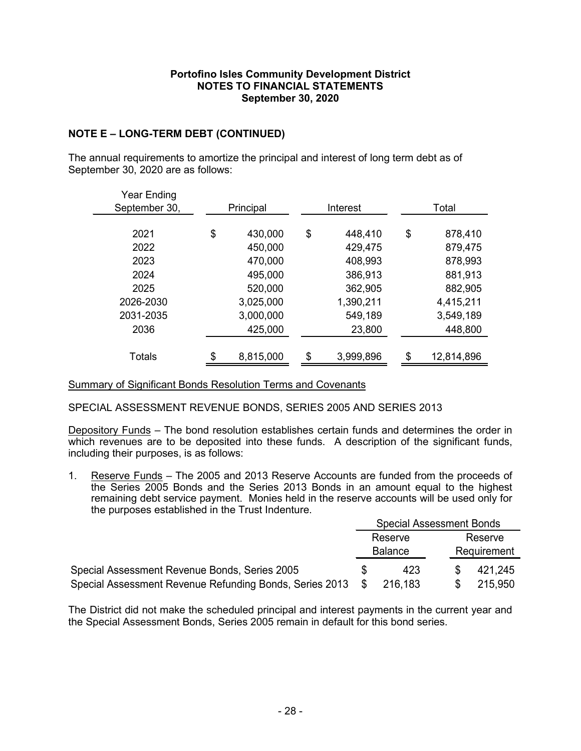## **NOTE E – LONG-TERM DEBT (CONTINUED)**

The annual requirements to amortize the principal and interest of long term debt as of September 30, 2020 are as follows:

| Year Ending<br>September 30, | Principal       | Interest        | Total            |
|------------------------------|-----------------|-----------------|------------------|
|                              |                 |                 |                  |
| 2021                         | \$<br>430,000   | \$<br>448,410   | \$<br>878,410    |
| 2022                         | 450,000         | 429,475         | 879,475          |
| 2023                         | 470,000         | 408,993         | 878,993          |
| 2024                         | 495,000         | 386,913         | 881,913          |
| 2025                         | 520,000         | 362,905         | 882,905          |
| 2026-2030                    | 3,025,000       | 1,390,211       | 4,415,211        |
| 2031-2035                    | 3,000,000       | 549,189         | 3,549,189        |
| 2036                         | 425,000         | 23,800          | 448,800          |
|                              |                 |                 |                  |
| Totals                       | \$<br>8,815,000 | \$<br>3,999,896 | \$<br>12,814,896 |

Summary of Significant Bonds Resolution Terms and Covenants

SPECIAL ASSESSMENT REVENUE BONDS, SERIES 2005 AND SERIES 2013

Depository Funds – The bond resolution establishes certain funds and determines the order in which revenues are to be deposited into these funds. A description of the significant funds, including their purposes, is as follows:

1. Reserve Funds – The 2005 and 2013 Reserve Accounts are funded from the proceeds of the Series 2005 Bonds and the Series 2013 Bonds in an amount equal to the highest remaining debt service payment. Monies held in the reserve accounts will be used only for the purposes established in the Trust Indenture.

|                                                         | <b>Special Assessment Bonds</b> |         |     |             |  |
|---------------------------------------------------------|---------------------------------|---------|-----|-------------|--|
|                                                         | Reserve                         |         |     | Reserve     |  |
|                                                         | <b>Balance</b>                  |         |     | Requirement |  |
| Special Assessment Revenue Bonds, Series 2005           |                                 | 423     | \$. | 421.245     |  |
| Special Assessment Revenue Refunding Bonds, Series 2013 |                                 | 216.183 |     | 215.950     |  |

The District did not make the scheduled principal and interest payments in the current year and the Special Assessment Bonds, Series 2005 remain in default for this bond series.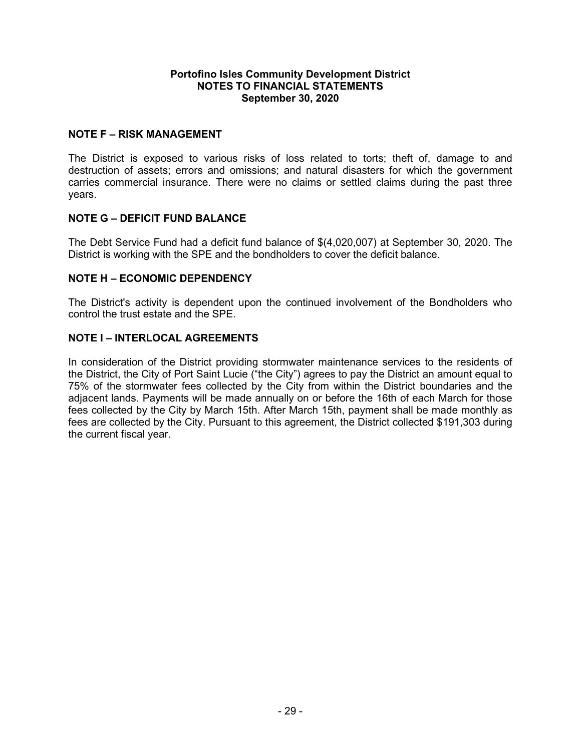## **NOTE F – RISK MANAGEMENT**

The District is exposed to various risks of loss related to torts; theft of, damage to and destruction of assets; errors and omissions; and natural disasters for which the government carries commercial insurance. There were no claims or settled claims during the past three years.

### **NOTE G – DEFICIT FUND BALANCE**

The Debt Service Fund had a deficit fund balance of \$(4,020,007) at September 30, 2020. The District is working with the SPE and the bondholders to cover the deficit balance.

### **NOTE H – ECONOMIC DEPENDENCY**

The District's activity is dependent upon the continued involvement of the Bondholders who control the trust estate and the SPE.

### **NOTE I – INTERLOCAL AGREEMENTS**

In consideration of the District providing stormwater maintenance services to the residents of the District, the City of Port Saint Lucie ("the City") agrees to pay the District an amount equal to 75% of the stormwater fees collected by the City from within the District boundaries and the adjacent lands. Payments will be made annually on or before the 16th of each March for those fees collected by the City by March 15th. After March 15th, payment shall be made monthly as fees are collected by the City. Pursuant to this agreement, the District collected \$191,303 during the current fiscal year.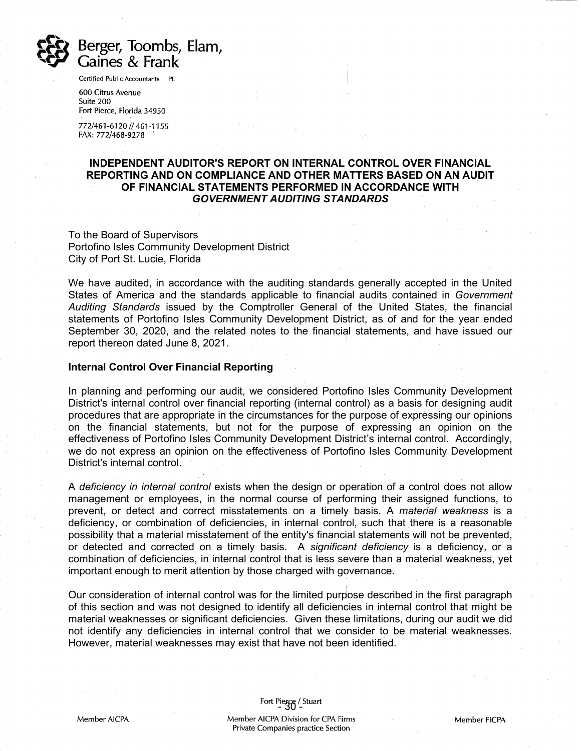

Certified Public Accountants PL

600 Citrus Avenue Suite 200 Fort Pierce, Florida 34950

772/461-6120 // 461-1155 FAX: 772/468-9278

#### **INDEPENDENT AUDITOR'S REPORT ON INTERNAL CONTROL OVER FINANCIAL REPORTING AND ON COMPLIANCE AND OTHER MATTERS BASED ON AN AUDIT OF FINANCIAL STATEMENTS PERFORMED IN ACCORDANCE WITH** *GOVERNMENT AUDITING STANDARDS*

To the Board of Supervisors Portofino Isles Community Development District City of Port St. Lucie, Florida

We have audited, in accordance with the auditing standards generally accepted in the United States of America and the standards applicable to financial audits contained in *Government Auditing Standards* issued by the Comptroller General of the United States, the financial statements of Portofino Isles Community Development District, as of and for the year ended September 30, 2020, and the related notes to the financial statements, and have issued our report thereon dated June 8, 2021.

#### **Internal Control Over Financial Reporting**

In planning and performing our audit, we considered Portofino Isles Community Development District's internal control over financial reporting (internal control) as a basis for designing audit procedures that are appropriate in the circumstances for the purpose of expressing our opinions on the financial statements, but not for the purpose of expressing an opinion on the effectiveness of Portofino Isles Community Development District's internal control. Accordingly, we do not express an opinion on the effectiveness of Portofino Isles Community Development District's internal control.

A *deficiency in internal control* exists when the design or operation of a control does not allow management or employees, in the normal course of performing their assigned functions, to prevent, or detect and correct misstatements on a timely basis. A *material weakness* is a deficiency, or combination of deficiencies, in internal control, such that there is a reasonable possibility that a material misstatement of the entity's financial statements will not be prevented, or detected and corrected on a timely basis. A *significant deficiency* is a deficiency, or a combination of deficiencies, in internal control that is less severe than a material weakness, yet important enough to merit attention by those charged with governance.

Our consideration of internal control was for the limited purpose described in the first paragraph of this section and was not designed to identify all deficiencies in internal control that might be material weaknesses or significant deficiencies. Given these limitations, during our audit we did not identify any deficiencies in internal control that we consider to be material weaknesses. However, material weaknesses may exist that have not been identified.

Member AICPA

Fort Pierce / Stuart Member AICPA Division for CPA Firms Private Companies practice Section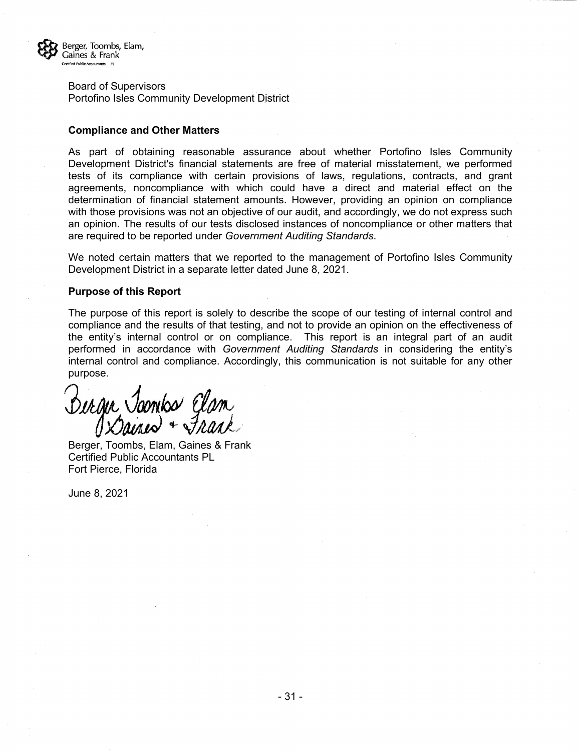

Board of Supervisors Portofino Isles Community Development District

#### **Compliance and Other Matters**

As part of obtaining reasonable assurance about whether Portofino Isles Community Development District's financial statements are free of material misstatement, we performed tests of its compliance with certain provisions of laws, regulations, contracts, and grant agreements, noncompliance with which could have a direct and material effect on the determination of financial statement amounts. However, providing an opinion on compliance with those provisions was not an objective of our audit, and accordingly, we do not express such an opinion. The results of our tests disclosed instances of noncompliance or other matters that are required to be reported under *Government Auditing Standards*.

We noted certain matters that we reported to the management of Portofino Isles Community Development District in a separate letter dated June 8, 2021.

#### **Purpose of this Report**

The purpose of this report is solely to describe the scope of our testing of internal control and compliance and the results of that testing, and not to provide an opinion on the effectiveness of the entity's internal control or on compliance. This report is an integral part of an audit performed in accordance with *Government Auditing Standards* in considering the entity's internal control and compliance. Accordingly, this communication is not suitable for any other purpose.

Durgin Joenks Clam

Berger, Toombs, Elam, Gaines & Frank Certified Public Accountants PL Fort Pierce, Florida

June 8, 2021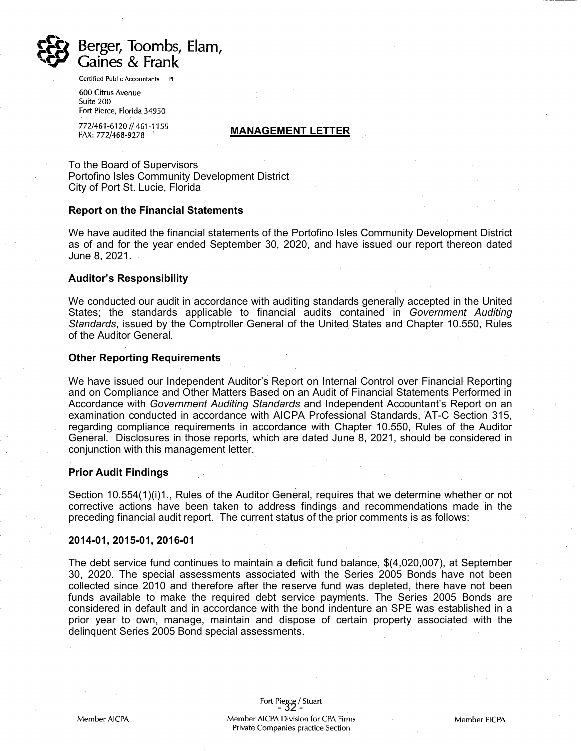

Certified Public Accountants PL

600 Citrus Avenue Suite 200 Fort Pierce, Florida 34950

772/461-6120 // 461-1155 FAX: 772/468-9278

#### **MANAGEMENT LETTER**

To the Board of Supervisors Portofino Isles Community Development District City of Port St. Lucie, Florida

#### **Report on the Financial Statements**

We have audited the financial statements of the Portofino Isles Community Development District as of and for the year ended September 30, 2020, and have issued our report thereon dated June 8, 2021.

#### **Auditor's Responsibility**

We conducted our audit in accordance with auditing standards generally accepted in the United States; the standards applicable to financial audits contained in *Government Auditing Standards*, issued by the Comptroller General of the United States and Chapter 10.550, Rules of the Auditor General.

#### **Other Reporting Requirements**

We have issued our Independent Auditor's Report on Internal Control over Financial Reporting and on Compliance and Other Matters Based on an Audit of Financial Statements Performed in Accordance with *Government Auditing Standards* and Independent Accountant's Report on an examination conducted in accordance with AICPA Professional Standards, AT-C Section 315, regarding compliance requirements in accordance with Chapter 10.550, Rules of the Auditor General. Disclosures in those reports, which are dated June 8, 2021, should be considered in conjunction with this management letter.

#### **Prior Audit Findings**

Section 10.554(1)(i)1., Rules of the Auditor General, requires that we determine whether or not corrective actions have been taken to address findings and recommendations made in the preceding financial audit report. The current status of the prior comments is as follows:

#### **2014-01, 2015-01, 2016-01**

The debt service fund continues to maintain a deficit fund balance, \$(4,020,007), at September 30, 2020. The special assessments associated with the Series 2005 Bonds have not been collected since 2010 and therefore after the reserve fund was depleted, there have not been funds available to make the required debt service payments. The Series 2005 Bonds are considered in default and in accordance with the bond indenture an SPE was established in a prior year to own, manage, maintain and dispose of certain property associated with the delinquent Series 2005 Bond special assessments.

Fort Pierce / Stuart Member AICPA Division for CPA Firms Private Companies practice Section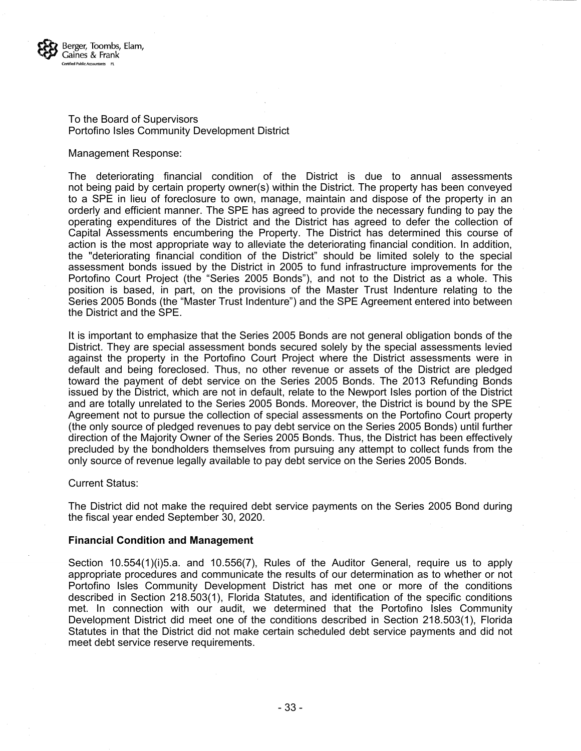

#### To the Board of Supervisors Portofino Isles Community Development District

#### Management Response:

The deteriorating financial condition of the District is due to annual assessments not being paid by certain property owner(s) within the District. The property has been conveyed to a SPE in lieu of foreclosure to own, manage, maintain and dispose of the property in an orderly and efficient manner. The SPE has agreed to provide the necessary funding to pay the operating expenditures of the District and the District has agreed to defer the collection of Capital Assessments encumbering the Property. The District has determined this course of action is the most appropriate way to alleviate the deteriorating financial condition. In addition, the "deteriorating financial condition of the District" should be limited solely to the special assessment bonds issued by the District in 2005 to fund infrastructure improvements for the Portofino Court Project (the "Series 2005 Bonds"), and not to the District as a whole. This position is based, in part, on the provisions of the Master Trust Indenture relating to the Series 2005 Bonds (the "Master Trust Indenture") and the SPE Agreement entered into between the District and the SPE.

It is important to emphasize that the Series 2005 Bonds are not general obligation bonds of the District. They are special assessment bonds secured solely by the special assessments levied against the property in the Portofino Court Project where the District assessments were in default and being foreclosed. Thus, no other revenue or assets of the District are pledged toward the payment of debt service on the Series 2005 Bonds. The 2013 Refunding Bonds issued by the District, which are not in default, relate to the Newport Isles portion of the District and are totally unrelated to the Series 2005 Bonds. Moreover, the District is bound by the SPE Agreement not to pursue the collection of special assessments on the Portofino Court property (the only source of pledged revenues to pay debt service on the Series 2005 Bonds) until further direction of the Majority Owner of the Series 2005 Bonds. Thus, the District has been effectively precluded by the bondholders themselves from pursuing any attempt to collect funds from the only source of revenue legally available to pay debt service on the Series 2005 Bonds.

#### Current Status:

The District did not make the required debt service payments on the Series 2005 Bond during the fiscal year ended September 30, 2020.

#### **Financial Condition and Management**

Section 10.554(1)(i)5.a. and 10.556(7), Rules of the Auditor General, require us to apply appropriate procedures and communicate the results of our determination as to whether or not Portofino Isles Community Development District has met one or more of the conditions described in Section 218.503(1), Florida Statutes, and identification of the specific conditions met. In connection with our audit, we determined that the Portofino Isles Community Development District did meet one of the conditions described in Section 218.503(1), Florida Statutes in that the District did not make certain scheduled debt service payments and did not meet debt service reserve requirements.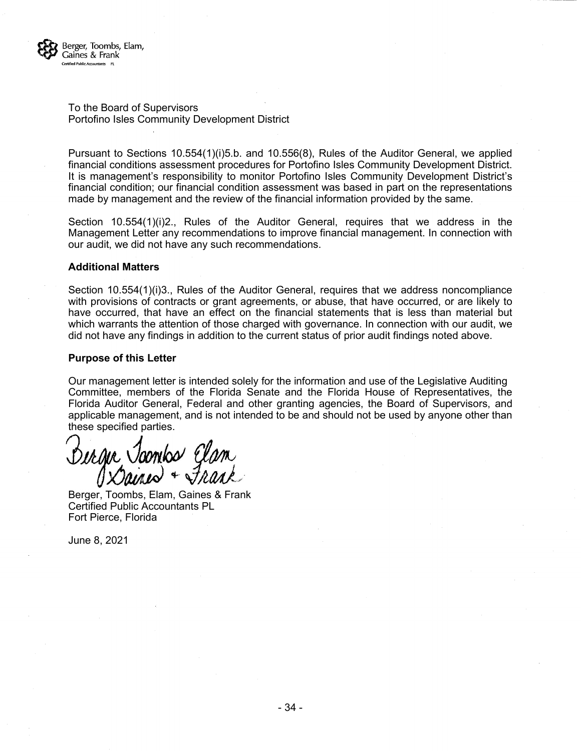

To the Board of Supervisors Portofino Isles Community Development District

Pursuant to Sections 10.554(1)(i)5.b. and 10.556(8), Rules of the Auditor General, we applied financial conditions assessment procedures for Portofino Isles Community Development District. It is management's responsibility to monitor Portofino Isles Community Development District's financial condition; our financial condition assessment was based in part on the representations made by management and the review of the financial information provided by the same.

Section 10.554(1)(i)2., Rules of the Auditor General, requires that we address in the Management Letter any recommendations to improve financial management. In connection with our audit, we did not have any such recommendations.

#### **Additional Matters**

Section 10.554(1)(i)3., Rules of the Auditor General, requires that we address noncompliance with provisions of contracts or grant agreements, or abuse, that have occurred, or are likely to have occurred, that have an effect on the financial statements that is less than material but which warrants the attention of those charged with governance. In connection with our audit, we did not have any findings in addition to the current status of prior audit findings noted above.

#### **Purpose of this Letter**

Our management letter is intended solely for the information and use of the Legislative Auditing Committee, members of the Florida Senate and the Florida House of Representatives, the Florida Auditor General, Federal and other granting agencies, the Board of Supervisors, and applicable management, and is not intended to be and should not be used by anyone other than these specified parties.

Bergir Joonbo Glam

Berger, Toombs, Elam, Gaines & Frank Certified Public Accountants PL Fort Pierce, Florida

June 8, 2021